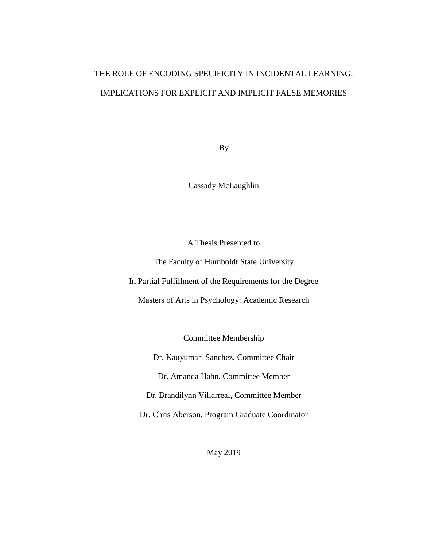# <span id="page-0-0"></span>THE ROLE OF ENCODING SPECIFICITY IN INCIDENTAL LEARNING: IMPLICATIONS FOR EXPLICIT AND IMPLICIT FALSE MEMORIES

By

Cassady McLaughlin

A Thesis Presented to

The Faculty of Humboldt State University

In Partial Fulfillment of the Requirements for the Degree

Masters of Arts in Psychology: Academic Research

Committee Membership

Dr. Kauyumari Sanchez, Committee Chair

Dr. Amanda Hahn, Committee Member

Dr. Brandilynn Villarreal, Committee Member

Dr. Chris Aberson, Program Graduate Coordinator

May 2019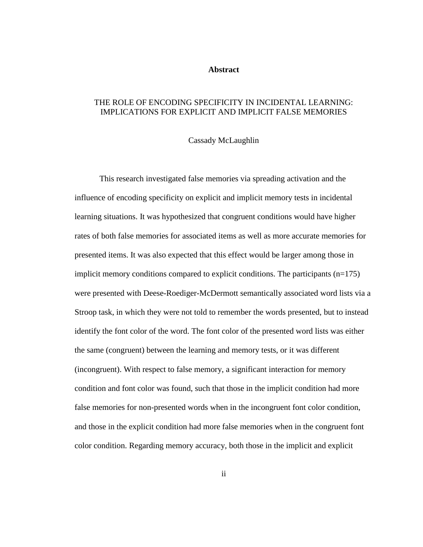## **Abstract**

## THE ROLE OF ENCODING SPECIFICITY IN INCIDENTAL LEARNING: IMPLICATIONS FOR EXPLICIT AND IMPLICIT FALSE MEMORIES

## Cassady McLaughlin

This research investigated false memories via spreading activation and the influence of encoding specificity on explicit and implicit memory tests in incidental learning situations. It was hypothesized that congruent conditions would have higher rates of both false memories for associated items as well as more accurate memories for presented items. It was also expected that this effect would be larger among those in implicit memory conditions compared to explicit conditions. The participants (n=175) were presented with Deese-Roediger-McDermott semantically associated word lists via a Stroop task, in which they were not told to remember the words presented, but to instead identify the font color of the word. The font color of the presented word lists was either the same (congruent) between the learning and memory tests, or it was different (incongruent). With respect to false memory, a significant interaction for memory condition and font color was found, such that those in the implicit condition had more false memories for non-presented words when in the incongruent font color condition, and those in the explicit condition had more false memories when in the congruent font color condition. Regarding memory accuracy, both those in the implicit and explicit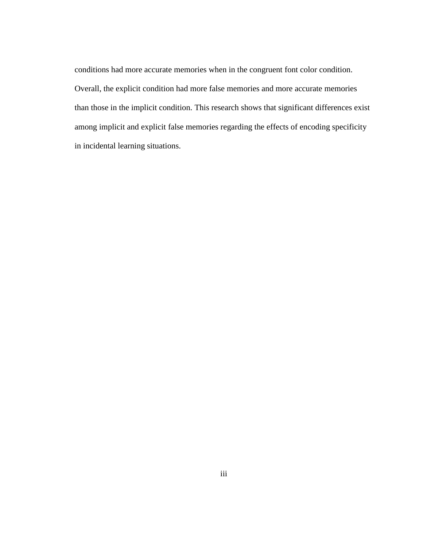conditions had more accurate memories when in the congruent font color condition. Overall, the explicit condition had more false memories and more accurate memories than those in the implicit condition. This research shows that significant differences exist among implicit and explicit false memories regarding the effects of encoding specificity in incidental learning situations.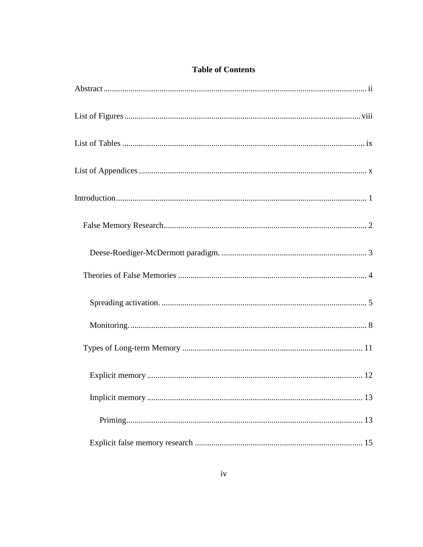## **Table of Contents**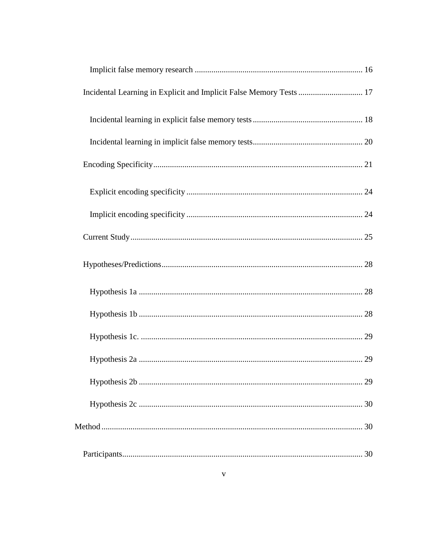| Incidental Learning in Explicit and Implicit False Memory Tests  17 |  |
|---------------------------------------------------------------------|--|
|                                                                     |  |
|                                                                     |  |
|                                                                     |  |
|                                                                     |  |
|                                                                     |  |
|                                                                     |  |
|                                                                     |  |
|                                                                     |  |
|                                                                     |  |
|                                                                     |  |
|                                                                     |  |
|                                                                     |  |
|                                                                     |  |
|                                                                     |  |
|                                                                     |  |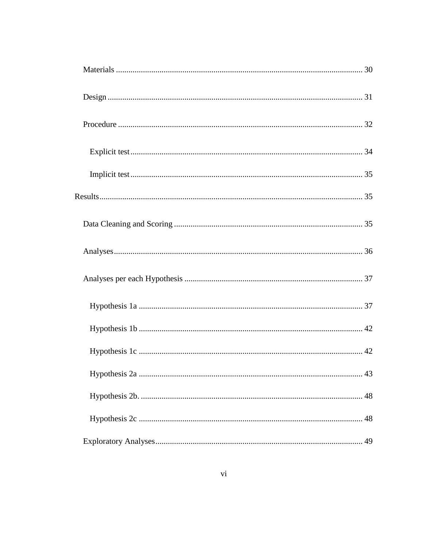| 43 |
|----|
|    |
|    |
|    |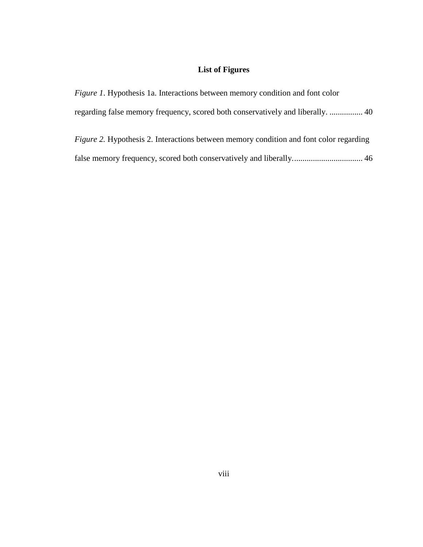# **List of Figures**

<span id="page-7-0"></span>

| <i>Figure 1.</i> Hypothesis 1a. Interactions between memory condition and font color          |
|-----------------------------------------------------------------------------------------------|
|                                                                                               |
| <i>Figure 2.</i> Hypothesis 2. Interactions between memory condition and font color regarding |
|                                                                                               |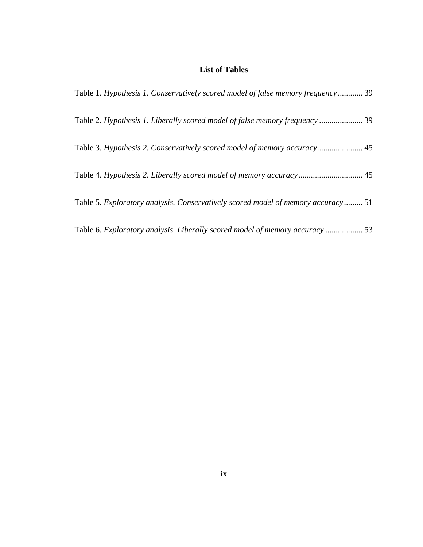## **List of Tables**

<span id="page-8-0"></span>

| Table 1. Hypothesis 1. Conservatively scored model of false memory frequency 39  |  |
|----------------------------------------------------------------------------------|--|
| Table 2. Hypothesis 1. Liberally scored model of false memory frequency  39      |  |
| Table 3. Hypothesis 2. Conservatively scored model of memory accuracy 45         |  |
| Table 4. Hypothesis 2. Liberally scored model of memory accuracy 45              |  |
| Table 5. Exploratory analysis. Conservatively scored model of memory accuracy 51 |  |
| Table 6. Exploratory analysis. Liberally scored model of memory accuracy  53     |  |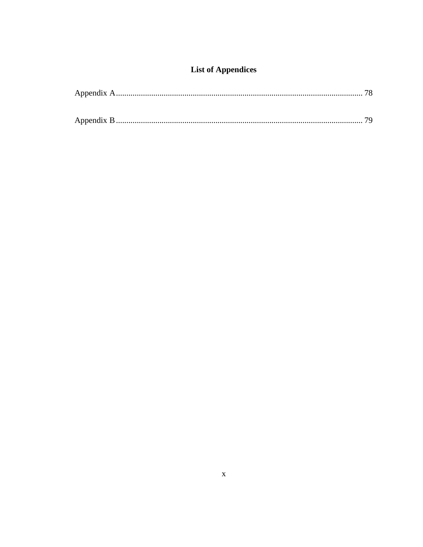# **List of Appendices**

<span id="page-9-0"></span>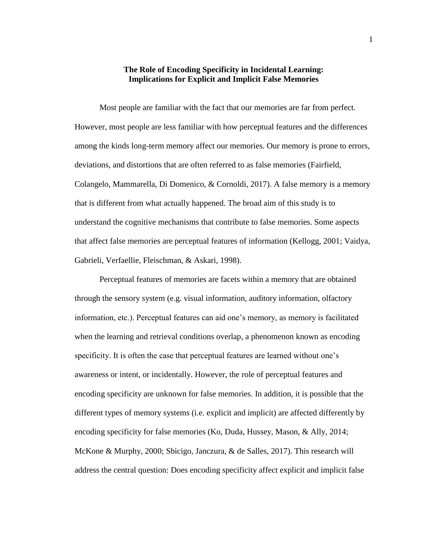## **The Role of Encoding Specificity in Incidental Learning: Implications for Explicit and Implicit False Memories**

<span id="page-10-0"></span>Most people are familiar with the fact that our memories are far from perfect. However, most people are less familiar with how perceptual features and the differences among the kinds long-term memory affect our memories. Our memory is prone to errors, deviations, and distortions that are often referred to as false memories (Fairfield, Colangelo, Mammarella, Di Domenico, & Cornoldi, 2017). A false memory is a memory that is different from what actually happened. The broad aim of this study is to understand the cognitive mechanisms that contribute to false memories. Some aspects that affect false memories are perceptual features of information (Kellogg, 2001; Vaidya, Gabrieli, Verfaellie, Fleischman, & Askari, 1998).

Perceptual features of memories are facets within a memory that are obtained through the sensory system (e.g. visual information, auditory information, olfactory information, etc.). Perceptual features can aid one's memory, as memory is facilitated when the learning and retrieval conditions overlap, a phenomenon known as encoding specificity. It is often the case that perceptual features are learned without one's awareness or intent, or incidentally. However, the role of perceptual features and encoding specificity are unknown for false memories. In addition, it is possible that the different types of memory systems (i.e. explicit and implicit) are affected differently by encoding specificity for false memories (Ko, Duda, Hussey, Mason, & Ally, 2014; McKone & Murphy, 2000; Sbicigo, Janczura, & de Salles, 2017). This research will address the central question: Does encoding specificity affect explicit and implicit false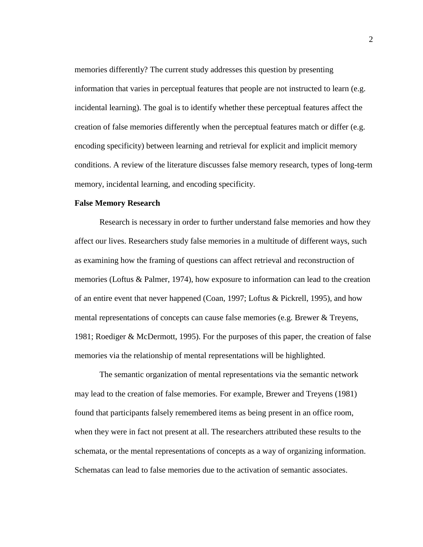memories differently? The current study addresses this question by presenting information that varies in perceptual features that people are not instructed to learn (e.g. incidental learning). The goal is to identify whether these perceptual features affect the creation of false memories differently when the perceptual features match or differ (e.g. encoding specificity) between learning and retrieval for explicit and implicit memory conditions. A review of the literature discusses false memory research, types of long-term memory, incidental learning, and encoding specificity.

#### <span id="page-11-0"></span>**False Memory Research**

Research is necessary in order to further understand false memories and how they affect our lives. Researchers study false memories in a multitude of different ways, such as examining how the framing of questions can affect retrieval and reconstruction of memories (Loftus & Palmer, 1974), how exposure to information can lead to the creation of an entire event that never happened (Coan, 1997; Loftus & Pickrell, 1995), and how mental representations of concepts can cause false memories (e.g. Brewer & Treyens, 1981; Roediger & McDermott, 1995). For the purposes of this paper, the creation of false memories via the relationship of mental representations will be highlighted.

The semantic organization of mental representations via the semantic network may lead to the creation of false memories. For example, Brewer and Treyens (1981) found that participants falsely remembered items as being present in an office room, when they were in fact not present at all. The researchers attributed these results to the schemata, or the mental representations of concepts as a way of organizing information. Schematas can lead to false memories due to the activation of semantic associates.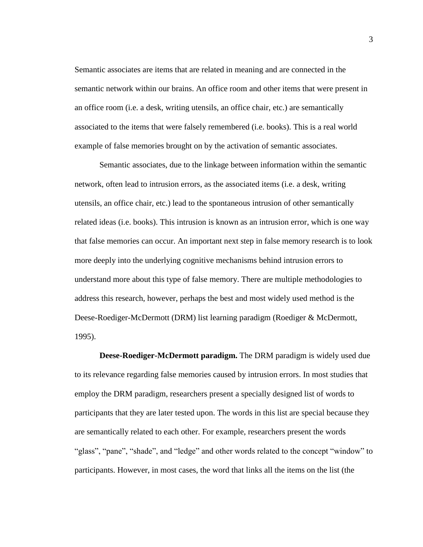Semantic associates are items that are related in meaning and are connected in the semantic network within our brains. An office room and other items that were present in an office room (i.e. a desk, writing utensils, an office chair, etc.) are semantically associated to the items that were falsely remembered (i.e. books). This is a real world example of false memories brought on by the activation of semantic associates.

Semantic associates, due to the linkage between information within the semantic network, often lead to intrusion errors, as the associated items (i.e. a desk, writing utensils, an office chair, etc.) lead to the spontaneous intrusion of other semantically related ideas (i.e. books). This intrusion is known as an intrusion error, which is one way that false memories can occur. An important next step in false memory research is to look more deeply into the underlying cognitive mechanisms behind intrusion errors to understand more about this type of false memory. There are multiple methodologies to address this research, however, perhaps the best and most widely used method is the Deese-Roediger-McDermott (DRM) list learning paradigm (Roediger & McDermott, 1995).

<span id="page-12-0"></span>**Deese-Roediger-McDermott paradigm.** The DRM paradigm is widely used due to its relevance regarding false memories caused by intrusion errors. In most studies that employ the DRM paradigm, researchers present a specially designed list of words to participants that they are later tested upon. The words in this list are special because they are semantically related to each other. For example, researchers present the words "glass", "pane", "shade", and "ledge" and other words related to the concept "window" to participants. However, in most cases, the word that links all the items on the list (the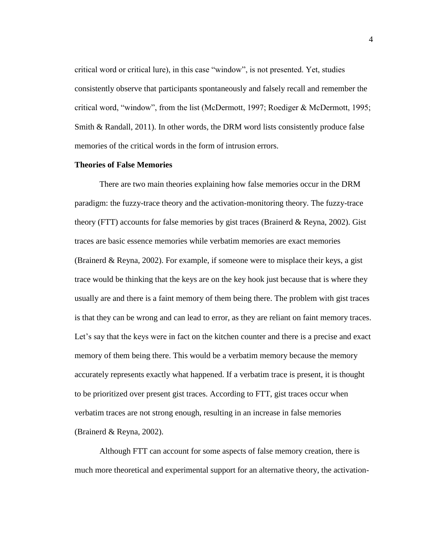critical word or critical lure), in this case "window", is not presented. Yet, studies consistently observe that participants spontaneously and falsely recall and remember the critical word, "window", from the list (McDermott, 1997; Roediger & McDermott, 1995; Smith & Randall, 2011). In other words, the DRM word lists consistently produce false memories of the critical words in the form of intrusion errors.

## <span id="page-13-0"></span>**Theories of False Memories**

There are two main theories explaining how false memories occur in the DRM paradigm: the fuzzy-trace theory and the activation-monitoring theory. The fuzzy-trace theory (FTT) accounts for false memories by gist traces (Brainerd & Reyna, 2002). Gist traces are basic essence memories while verbatim memories are exact memories (Brainerd & Reyna, 2002). For example, if someone were to misplace their keys, a gist trace would be thinking that the keys are on the key hook just because that is where they usually are and there is a faint memory of them being there. The problem with gist traces is that they can be wrong and can lead to error, as they are reliant on faint memory traces. Let's say that the keys were in fact on the kitchen counter and there is a precise and exact memory of them being there. This would be a verbatim memory because the memory accurately represents exactly what happened. If a verbatim trace is present, it is thought to be prioritized over present gist traces. According to FTT, gist traces occur when verbatim traces are not strong enough, resulting in an increase in false memories (Brainerd & Reyna, 2002).

Although FTT can account for some aspects of false memory creation, there is much more theoretical and experimental support for an alternative theory, the activation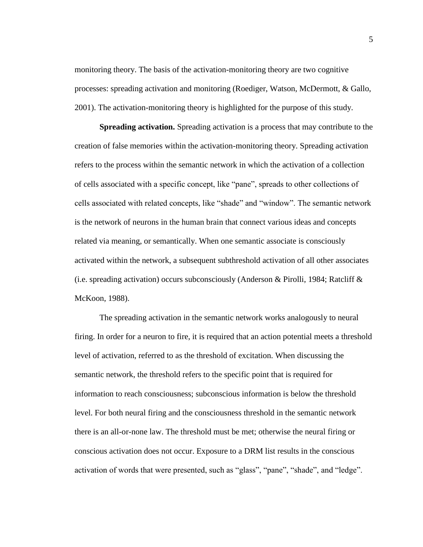monitoring theory. The basis of the activation-monitoring theory are two cognitive processes: spreading activation and monitoring (Roediger, Watson, McDermott, & Gallo, 2001). The activation-monitoring theory is highlighted for the purpose of this study.

<span id="page-14-0"></span>**Spreading activation.** Spreading activation is a process that may contribute to the creation of false memories within the activation-monitoring theory. Spreading activation refers to the process within the semantic network in which the activation of a collection of cells associated with a specific concept, like "pane", spreads to other collections of cells associated with related concepts, like "shade" and "window". The semantic network is the network of neurons in the human brain that connect various ideas and concepts related via meaning, or semantically. When one semantic associate is consciously activated within the network, a subsequent subthreshold activation of all other associates (i.e. spreading activation) occurs subconsciously (Anderson & Pirolli, 1984; Ratcliff & McKoon, 1988).

The spreading activation in the semantic network works analogously to neural firing. In order for a neuron to fire, it is required that an action potential meets a threshold level of activation, referred to as the threshold of excitation. When discussing the semantic network, the threshold refers to the specific point that is required for information to reach consciousness; subconscious information is below the threshold level. For both neural firing and the consciousness threshold in the semantic network there is an all-or-none law. The threshold must be met; otherwise the neural firing or conscious activation does not occur. Exposure to a DRM list results in the conscious activation of words that were presented, such as "glass", "pane", "shade", and "ledge".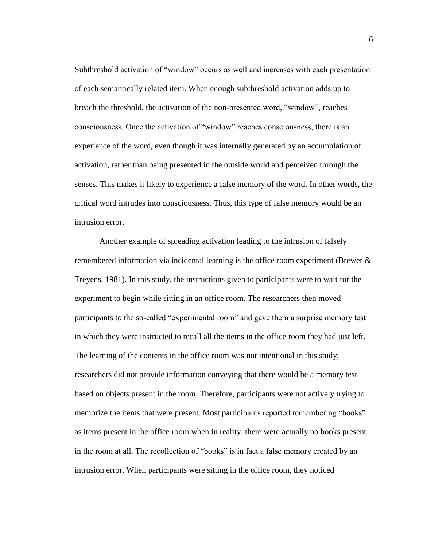Subthreshold activation of "window" occurs as well and increases with each presentation of each semantically related item. When enough subthreshold activation adds up to breach the threshold, the activation of the non-presented word, "window", reaches consciousness. Once the activation of "window" reaches consciousness, there is an experience of the word, even though it was internally generated by an accumulation of activation, rather than being presented in the outside world and perceived through the senses. This makes it likely to experience a false memory of the word. In other words, the critical word intrudes into consciousness. Thus, this type of false memory would be an intrusion error.

Another example of spreading activation leading to the intrusion of falsely remembered information via incidental learning is the office room experiment (Brewer & Treyens, 1981). In this study, the instructions given to participants were to wait for the experiment to begin while sitting in an office room. The researchers then moved participants to the so-called "experimental room" and gave them a surprise memory test in which they were instructed to recall all the items in the office room they had just left. The learning of the contents in the office room was not intentional in this study; researchers did not provide information conveying that there would be a memory test based on objects present in the room. Therefore, participants were not actively trying to memorize the items that were present. Most participants reported remembering "books" as items present in the office room when in reality, there were actually no books present in the room at all. The recollection of "books" is in fact a false memory created by an intrusion error. When participants were sitting in the office room, they noticed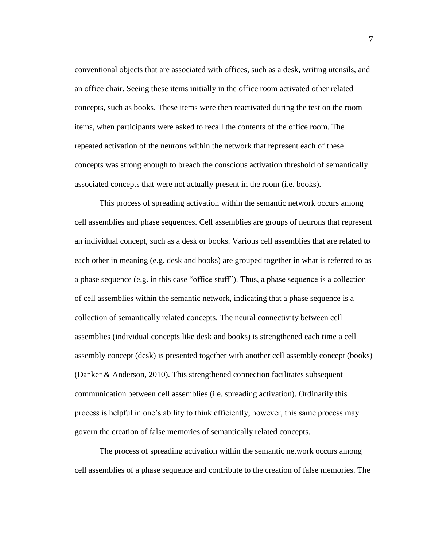conventional objects that are associated with offices, such as a desk, writing utensils, and an office chair. Seeing these items initially in the office room activated other related concepts, such as books. These items were then reactivated during the test on the room items, when participants were asked to recall the contents of the office room. The repeated activation of the neurons within the network that represent each of these concepts was strong enough to breach the conscious activation threshold of semantically associated concepts that were not actually present in the room (i.e. books).

This process of spreading activation within the semantic network occurs among cell assemblies and phase sequences. Cell assemblies are groups of neurons that represent an individual concept, such as a desk or books. Various cell assemblies that are related to each other in meaning (e.g. desk and books) are grouped together in what is referred to as a phase sequence (e.g. in this case "office stuff"). Thus, a phase sequence is a collection of cell assemblies within the semantic network, indicating that a phase sequence is a collection of semantically related concepts. The neural connectivity between cell assemblies (individual concepts like desk and books) is strengthened each time a cell assembly concept (desk) is presented together with another cell assembly concept (books) (Danker & Anderson, 2010). This strengthened connection facilitates subsequent communication between cell assemblies (i.e. spreading activation). Ordinarily this process is helpful in one's ability to think efficiently, however, this same process may govern the creation of false memories of semantically related concepts.

The process of spreading activation within the semantic network occurs among cell assemblies of a phase sequence and contribute to the creation of false memories. The

7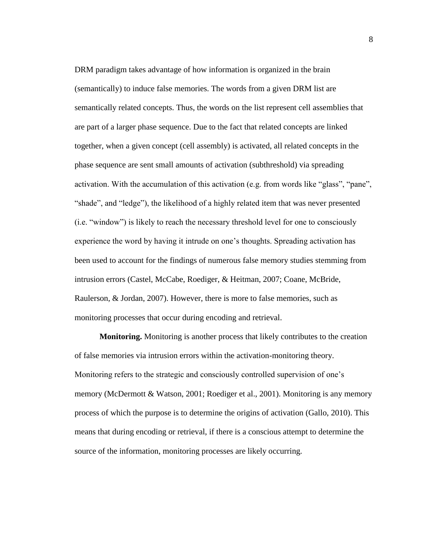DRM paradigm takes advantage of how information is organized in the brain (semantically) to induce false memories. The words from a given DRM list are semantically related concepts. Thus, the words on the list represent cell assemblies that are part of a larger phase sequence. Due to the fact that related concepts are linked together, when a given concept (cell assembly) is activated, all related concepts in the phase sequence are sent small amounts of activation (subthreshold) via spreading activation. With the accumulation of this activation (e.g. from words like "glass", "pane", "shade", and "ledge"), the likelihood of a highly related item that was never presented (i.e. "window") is likely to reach the necessary threshold level for one to consciously experience the word by having it intrude on one's thoughts. Spreading activation has been used to account for the findings of numerous false memory studies stemming from intrusion errors (Castel, McCabe, Roediger, & Heitman, 2007; Coane, McBride, Raulerson, & Jordan, 2007). However, there is more to false memories, such as monitoring processes that occur during encoding and retrieval.

<span id="page-17-0"></span>**Monitoring.** Monitoring is another process that likely contributes to the creation of false memories via intrusion errors within the activation-monitoring theory. Monitoring refers to the strategic and consciously controlled supervision of one's memory (McDermott & Watson, 2001; Roediger et al., 2001). Monitoring is any memory process of which the purpose is to determine the origins of activation (Gallo, 2010). This means that during encoding or retrieval, if there is a conscious attempt to determine the source of the information, monitoring processes are likely occurring.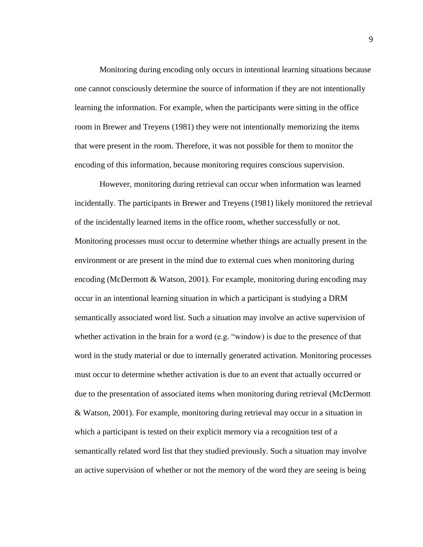Monitoring during encoding only occurs in intentional learning situations because one cannot consciously determine the source of information if they are not intentionally learning the information. For example, when the participants were sitting in the office room in Brewer and Treyens (1981) they were not intentionally memorizing the items that were present in the room. Therefore, it was not possible for them to monitor the encoding of this information, because monitoring requires conscious supervision.

However, monitoring during retrieval can occur when information was learned incidentally. The participants in Brewer and Treyens (1981) likely monitored the retrieval of the incidentally learned items in the office room, whether successfully or not. Monitoring processes must occur to determine whether things are actually present in the environment or are present in the mind due to external cues when monitoring during encoding (McDermott & Watson, 2001). For example, monitoring during encoding may occur in an intentional learning situation in which a participant is studying a DRM semantically associated word list. Such a situation may involve an active supervision of whether activation in the brain for a word (e.g. "window) is due to the presence of that word in the study material or due to internally generated activation. Monitoring processes must occur to determine whether activation is due to an event that actually occurred or due to the presentation of associated items when monitoring during retrieval (McDermott & Watson, 2001). For example, monitoring during retrieval may occur in a situation in which a participant is tested on their explicit memory via a recognition test of a semantically related word list that they studied previously. Such a situation may involve an active supervision of whether or not the memory of the word they are seeing is being

9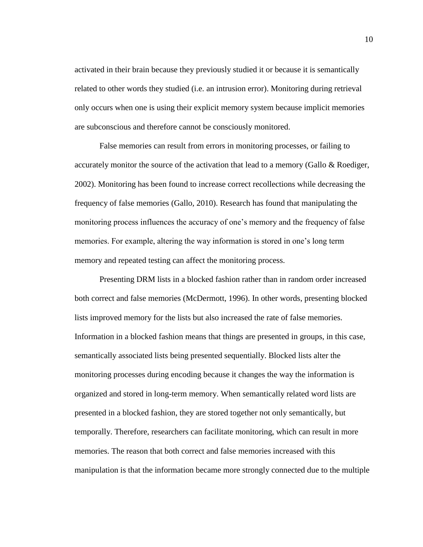activated in their brain because they previously studied it or because it is semantically related to other words they studied (i.e. an intrusion error). Monitoring during retrieval only occurs when one is using their explicit memory system because implicit memories are subconscious and therefore cannot be consciously monitored.

False memories can result from errors in monitoring processes, or failing to accurately monitor the source of the activation that lead to a memory (Gallo & Roediger, 2002). Monitoring has been found to increase correct recollections while decreasing the frequency of false memories (Gallo, 2010). Research has found that manipulating the monitoring process influences the accuracy of one's memory and the frequency of false memories. For example, altering the way information is stored in one's long term memory and repeated testing can affect the monitoring process.

Presenting DRM lists in a blocked fashion rather than in random order increased both correct and false memories (McDermott, 1996). In other words, presenting blocked lists improved memory for the lists but also increased the rate of false memories. Information in a blocked fashion means that things are presented in groups, in this case, semantically associated lists being presented sequentially. Blocked lists alter the monitoring processes during encoding because it changes the way the information is organized and stored in long-term memory. When semantically related word lists are presented in a blocked fashion, they are stored together not only semantically, but temporally. Therefore, researchers can facilitate monitoring, which can result in more memories. The reason that both correct and false memories increased with this manipulation is that the information became more strongly connected due to the multiple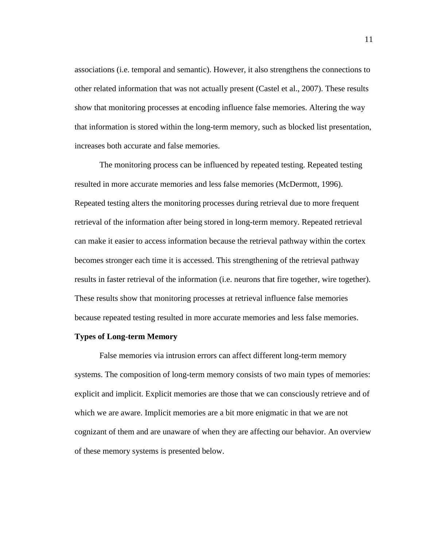associations (i.e. temporal and semantic). However, it also strengthens the connections to other related information that was not actually present (Castel et al., 2007). These results show that monitoring processes at encoding influence false memories. Altering the way that information is stored within the long-term memory, such as blocked list presentation, increases both accurate and false memories.

The monitoring process can be influenced by repeated testing. Repeated testing resulted in more accurate memories and less false memories (McDermott, 1996). Repeated testing alters the monitoring processes during retrieval due to more frequent retrieval of the information after being stored in long-term memory. Repeated retrieval can make it easier to access information because the retrieval pathway within the cortex becomes stronger each time it is accessed. This strengthening of the retrieval pathway results in faster retrieval of the information (i.e. neurons that fire together, wire together). These results show that monitoring processes at retrieval influence false memories because repeated testing resulted in more accurate memories and less false memories.

#### <span id="page-20-0"></span>**Types of Long-term Memory**

False memories via intrusion errors can affect different long-term memory systems. The composition of long-term memory consists of two main types of memories: explicit and implicit. Explicit memories are those that we can consciously retrieve and of which we are aware. Implicit memories are a bit more enigmatic in that we are not cognizant of them and are unaware of when they are affecting our behavior. An overview of these memory systems is presented below.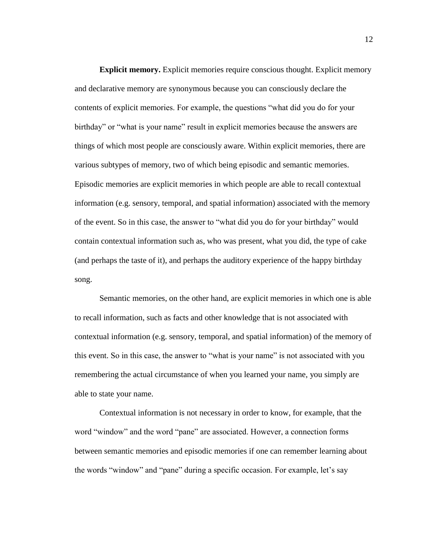<span id="page-21-0"></span>**Explicit memory.** Explicit memories require conscious thought. Explicit memory and declarative memory are synonymous because you can consciously declare the contents of explicit memories. For example, the questions "what did you do for your birthday" or "what is your name" result in explicit memories because the answers are things of which most people are consciously aware. Within explicit memories, there are various subtypes of memory, two of which being episodic and semantic memories. Episodic memories are explicit memories in which people are able to recall contextual information (e.g. sensory, temporal, and spatial information) associated with the memory of the event. So in this case, the answer to "what did you do for your birthday" would contain contextual information such as, who was present, what you did, the type of cake (and perhaps the taste of it), and perhaps the auditory experience of the happy birthday song.

Semantic memories, on the other hand, are explicit memories in which one is able to recall information, such as facts and other knowledge that is not associated with contextual information (e.g. sensory, temporal, and spatial information) of the memory of this event. So in this case, the answer to "what is your name" is not associated with you remembering the actual circumstance of when you learned your name, you simply are able to state your name.

Contextual information is not necessary in order to know, for example, that the word "window" and the word "pane" are associated. However, a connection forms between semantic memories and episodic memories if one can remember learning about the words "window" and "pane" during a specific occasion. For example, let's say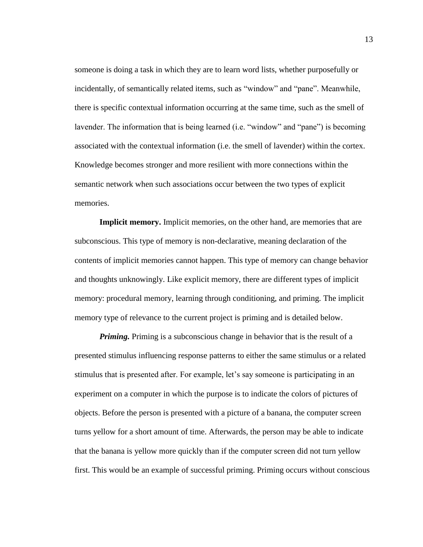someone is doing a task in which they are to learn word lists, whether purposefully or incidentally, of semantically related items, such as "window" and "pane". Meanwhile, there is specific contextual information occurring at the same time, such as the smell of lavender. The information that is being learned (i.e. "window" and "pane") is becoming associated with the contextual information (i.e. the smell of lavender) within the cortex. Knowledge becomes stronger and more resilient with more connections within the semantic network when such associations occur between the two types of explicit memories.

<span id="page-22-0"></span>**Implicit memory.** Implicit memories, on the other hand, are memories that are subconscious. This type of memory is non-declarative, meaning declaration of the contents of implicit memories cannot happen. This type of memory can change behavior and thoughts unknowingly. Like explicit memory, there are different types of implicit memory: procedural memory, learning through conditioning, and priming. The implicit memory type of relevance to the current project is priming and is detailed below.

<span id="page-22-1"></span>*Priming.* Priming is a subconscious change in behavior that is the result of a presented stimulus influencing response patterns to either the same stimulus or a related stimulus that is presented after. For example, let's say someone is participating in an experiment on a computer in which the purpose is to indicate the colors of pictures of objects. Before the person is presented with a picture of a banana, the computer screen turns yellow for a short amount of time. Afterwards, the person may be able to indicate that the banana is yellow more quickly than if the computer screen did not turn yellow first. This would be an example of successful priming. Priming occurs without conscious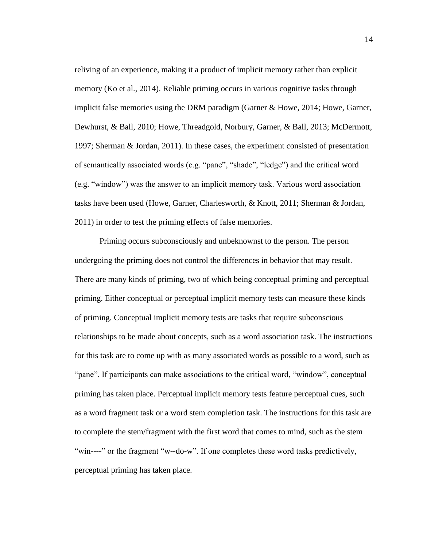reliving of an experience, making it a product of implicit memory rather than explicit memory (Ko et al., 2014). Reliable priming occurs in various cognitive tasks through implicit false memories using the DRM paradigm (Garner & Howe, 2014; Howe, Garner, Dewhurst, & Ball, 2010; Howe, Threadgold, Norbury, Garner, & Ball, 2013; McDermott, 1997; Sherman & Jordan, 2011). In these cases, the experiment consisted of presentation of semantically associated words (e.g. "pane", "shade", "ledge") and the critical word (e.g. "window") was the answer to an implicit memory task. Various word association tasks have been used (Howe, Garner, Charlesworth, & Knott, 2011; Sherman & Jordan, 2011) in order to test the priming effects of false memories.

Priming occurs subconsciously and unbeknownst to the person. The person undergoing the priming does not control the differences in behavior that may result. There are many kinds of priming, two of which being conceptual priming and perceptual priming. Either conceptual or perceptual implicit memory tests can measure these kinds of priming. Conceptual implicit memory tests are tasks that require subconscious relationships to be made about concepts, such as a word association task. The instructions for this task are to come up with as many associated words as possible to a word, such as "pane". If participants can make associations to the critical word, "window", conceptual priming has taken place. Perceptual implicit memory tests feature perceptual cues, such as a word fragment task or a word stem completion task. The instructions for this task are to complete the stem/fragment with the first word that comes to mind, such as the stem "win----" or the fragment "w--do-w". If one completes these word tasks predictively, perceptual priming has taken place.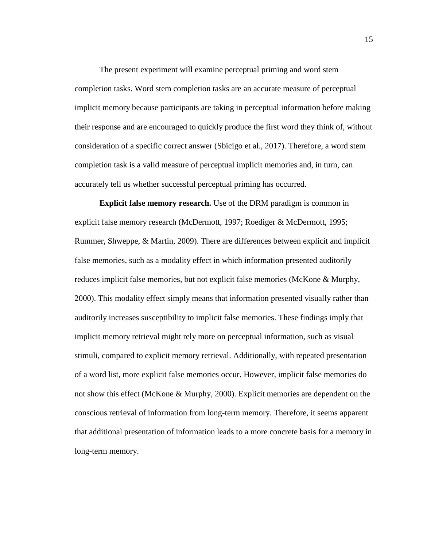The present experiment will examine perceptual priming and word stem completion tasks. Word stem completion tasks are an accurate measure of perceptual implicit memory because participants are taking in perceptual information before making their response and are encouraged to quickly produce the first word they think of, without consideration of a specific correct answer (Sbicigo et al., 2017). Therefore, a word stem completion task is a valid measure of perceptual implicit memories and, in turn, can accurately tell us whether successful perceptual priming has occurred.

<span id="page-24-0"></span>**Explicit false memory research.** Use of the DRM paradigm is common in explicit false memory research (McDermott, 1997; Roediger & McDermott, 1995; Rummer, Shweppe, & Martin, 2009). There are differences between explicit and implicit false memories, such as a modality effect in which information presented auditorily reduces implicit false memories, but not explicit false memories (McKone & Murphy, 2000). This modality effect simply means that information presented visually rather than auditorily increases susceptibility to implicit false memories. These findings imply that implicit memory retrieval might rely more on perceptual information, such as visual stimuli, compared to explicit memory retrieval. Additionally, with repeated presentation of a word list, more explicit false memories occur. However, implicit false memories do not show this effect (McKone & Murphy, 2000). Explicit memories are dependent on the conscious retrieval of information from long-term memory. Therefore, it seems apparent that additional presentation of information leads to a more concrete basis for a memory in long-term memory.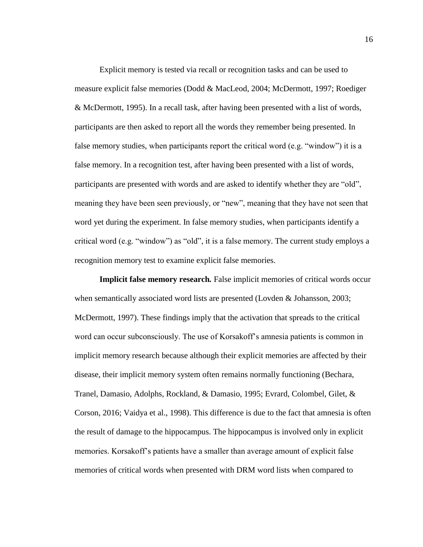Explicit memory is tested via recall or recognition tasks and can be used to measure explicit false memories (Dodd & MacLeod, 2004; McDermott, 1997; Roediger & McDermott, 1995). In a recall task, after having been presented with a list of words, participants are then asked to report all the words they remember being presented. In false memory studies, when participants report the critical word (e.g. "window") it is a false memory. In a recognition test, after having been presented with a list of words, participants are presented with words and are asked to identify whether they are "old", meaning they have been seen previously, or "new", meaning that they have not seen that word yet during the experiment. In false memory studies, when participants identify a critical word (e.g. "window") as "old", it is a false memory. The current study employs a recognition memory test to examine explicit false memories.

<span id="page-25-0"></span>**Implicit false memory research***.* False implicit memories of critical words occur when semantically associated word lists are presented (Lovden & Johansson, 2003; McDermott, 1997). These findings imply that the activation that spreads to the critical word can occur subconsciously. The use of Korsakoff's amnesia patients is common in implicit memory research because although their explicit memories are affected by their disease, their implicit memory system often remains normally functioning (Bechara, Tranel, Damasio, Adolphs, Rockland, & Damasio, 1995; Evrard, Colombel, Gilet, & Corson, 2016; Vaidya et al., 1998). This difference is due to the fact that amnesia is often the result of damage to the hippocampus. The hippocampus is involved only in explicit memories. Korsakoff's patients have a smaller than average amount of explicit false memories of critical words when presented with DRM word lists when compared to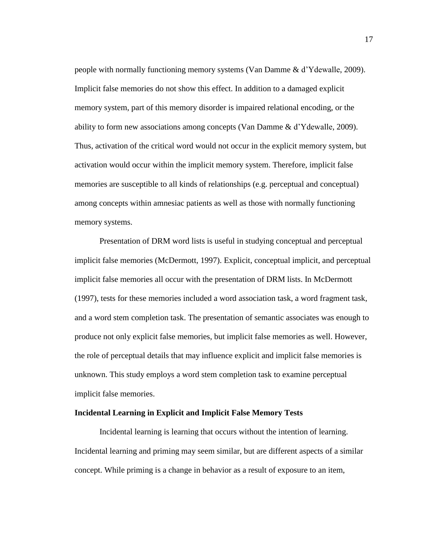people with normally functioning memory systems (Van Damme & d'Ydewalle, 2009). Implicit false memories do not show this effect. In addition to a damaged explicit memory system, part of this memory disorder is impaired relational encoding, or the ability to form new associations among concepts (Van Damme & d'Ydewalle, 2009). Thus, activation of the critical word would not occur in the explicit memory system, but activation would occur within the implicit memory system. Therefore, implicit false memories are susceptible to all kinds of relationships (e.g. perceptual and conceptual) among concepts within amnesiac patients as well as those with normally functioning memory systems.

Presentation of DRM word lists is useful in studying conceptual and perceptual implicit false memories (McDermott, 1997). Explicit, conceptual implicit, and perceptual implicit false memories all occur with the presentation of DRM lists. In McDermott (1997), tests for these memories included a word association task, a word fragment task, and a word stem completion task. The presentation of semantic associates was enough to produce not only explicit false memories, but implicit false memories as well. However, the role of perceptual details that may influence explicit and implicit false memories is unknown. This study employs a word stem completion task to examine perceptual implicit false memories.

#### <span id="page-26-0"></span>**Incidental Learning in Explicit and Implicit False Memory Tests**

Incidental learning is learning that occurs without the intention of learning. Incidental learning and priming may seem similar, but are different aspects of a similar concept. While priming is a change in behavior as a result of exposure to an item,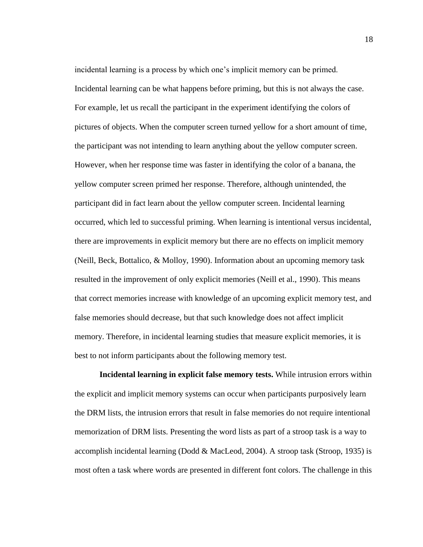incidental learning is a process by which one's implicit memory can be primed. Incidental learning can be what happens before priming, but this is not always the case. For example, let us recall the participant in the experiment identifying the colors of pictures of objects. When the computer screen turned yellow for a short amount of time, the participant was not intending to learn anything about the yellow computer screen. However, when her response time was faster in identifying the color of a banana, the yellow computer screen primed her response. Therefore, although unintended, the participant did in fact learn about the yellow computer screen. Incidental learning occurred, which led to successful priming. When learning is intentional versus incidental, there are improvements in explicit memory but there are no effects on implicit memory (Neill, Beck, Bottalico, & Molloy, 1990). Information about an upcoming memory task resulted in the improvement of only explicit memories (Neill et al., 1990). This means that correct memories increase with knowledge of an upcoming explicit memory test, and false memories should decrease, but that such knowledge does not affect implicit memory. Therefore, in incidental learning studies that measure explicit memories, it is best to not inform participants about the following memory test.

<span id="page-27-0"></span>**Incidental learning in explicit false memory tests.** While intrusion errors within the explicit and implicit memory systems can occur when participants purposively learn the DRM lists, the intrusion errors that result in false memories do not require intentional memorization of DRM lists. Presenting the word lists as part of a stroop task is a way to accomplish incidental learning (Dodd & MacLeod, 2004). A stroop task (Stroop, 1935) is most often a task where words are presented in different font colors. The challenge in this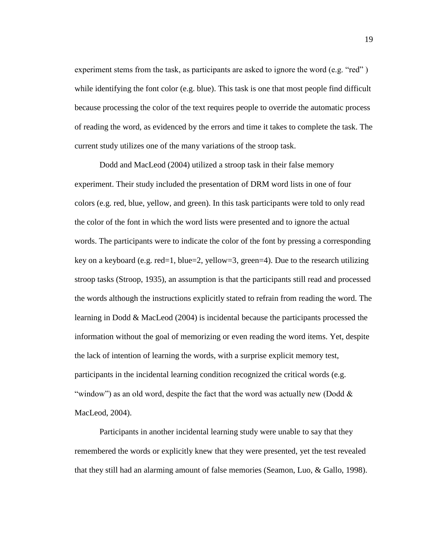experiment stems from the task, as participants are asked to ignore the word (e.g. "red") while identifying the font color (e.g. blue). This task is one that most people find difficult because processing the color of the text requires people to override the automatic process of reading the word, as evidenced by the errors and time it takes to complete the task. The current study utilizes one of the many variations of the stroop task.

Dodd and MacLeod (2004) utilized a stroop task in their false memory experiment. Their study included the presentation of DRM word lists in one of four colors (e.g. red, blue, yellow, and green). In this task participants were told to only read the color of the font in which the word lists were presented and to ignore the actual words. The participants were to indicate the color of the font by pressing a corresponding key on a keyboard (e.g. red=1, blue=2, yellow=3, green=4). Due to the research utilizing stroop tasks (Stroop, 1935), an assumption is that the participants still read and processed the words although the instructions explicitly stated to refrain from reading the word. The learning in Dodd & MacLeod (2004) is incidental because the participants processed the information without the goal of memorizing or even reading the word items. Yet, despite the lack of intention of learning the words, with a surprise explicit memory test, participants in the incidental learning condition recognized the critical words (e.g. "window") as an old word, despite the fact that the word was actually new (Dodd  $\&$ MacLeod, 2004).

Participants in another incidental learning study were unable to say that they remembered the words or explicitly knew that they were presented, yet the test revealed that they still had an alarming amount of false memories (Seamon, Luo, & Gallo, 1998).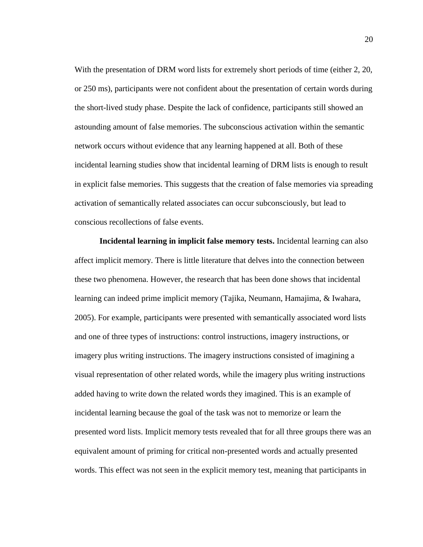With the presentation of DRM word lists for extremely short periods of time (either 2, 20, or 250 ms), participants were not confident about the presentation of certain words during the short-lived study phase. Despite the lack of confidence, participants still showed an astounding amount of false memories. The subconscious activation within the semantic network occurs without evidence that any learning happened at all. Both of these incidental learning studies show that incidental learning of DRM lists is enough to result in explicit false memories. This suggests that the creation of false memories via spreading activation of semantically related associates can occur subconsciously, but lead to conscious recollections of false events.

<span id="page-29-0"></span>**Incidental learning in implicit false memory tests.** Incidental learning can also affect implicit memory. There is little literature that delves into the connection between these two phenomena. However, the research that has been done shows that incidental learning can indeed prime implicit memory (Tajika, Neumann, Hamajima, & Iwahara, 2005). For example, participants were presented with semantically associated word lists and one of three types of instructions: control instructions, imagery instructions, or imagery plus writing instructions. The imagery instructions consisted of imagining a visual representation of other related words, while the imagery plus writing instructions added having to write down the related words they imagined. This is an example of incidental learning because the goal of the task was not to memorize or learn the presented word lists. Implicit memory tests revealed that for all three groups there was an equivalent amount of priming for critical non-presented words and actually presented words. This effect was not seen in the explicit memory test, meaning that participants in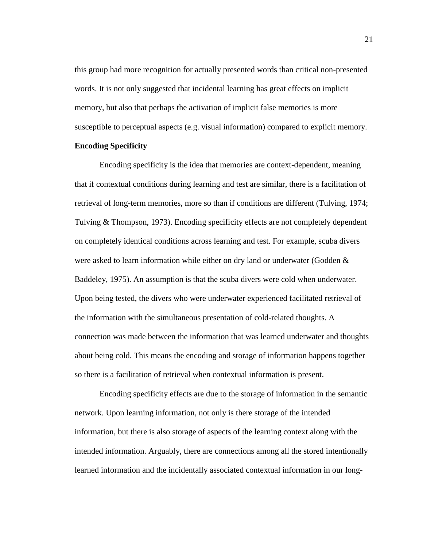this group had more recognition for actually presented words than critical non-presented words. It is not only suggested that incidental learning has great effects on implicit memory, but also that perhaps the activation of implicit false memories is more susceptible to perceptual aspects (e.g. visual information) compared to explicit memory.

### <span id="page-30-0"></span>**Encoding Specificity**

Encoding specificity is the idea that memories are context-dependent, meaning that if contextual conditions during learning and test are similar, there is a facilitation of retrieval of long-term memories, more so than if conditions are different (Tulving, 1974; Tulving & Thompson, 1973). Encoding specificity effects are not completely dependent on completely identical conditions across learning and test. For example, scuba divers were asked to learn information while either on dry land or underwater (Godden & Baddeley, 1975). An assumption is that the scuba divers were cold when underwater. Upon being tested, the divers who were underwater experienced facilitated retrieval of the information with the simultaneous presentation of cold-related thoughts. A connection was made between the information that was learned underwater and thoughts about being cold. This means the encoding and storage of information happens together so there is a facilitation of retrieval when contextual information is present.

Encoding specificity effects are due to the storage of information in the semantic network. Upon learning information, not only is there storage of the intended information, but there is also storage of aspects of the learning context along with the intended information. Arguably, there are connections among all the stored intentionally learned information and the incidentally associated contextual information in our long-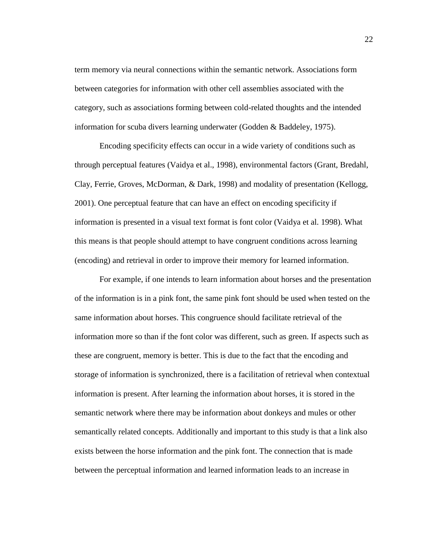term memory via neural connections within the semantic network. Associations form between categories for information with other cell assemblies associated with the category, such as associations forming between cold-related thoughts and the intended information for scuba divers learning underwater (Godden & Baddeley, 1975).

Encoding specificity effects can occur in a wide variety of conditions such as through perceptual features (Vaidya et al., 1998), environmental factors (Grant, Bredahl, Clay, Ferrie, Groves, McDorman, & Dark, 1998) and modality of presentation (Kellogg, 2001). One perceptual feature that can have an effect on encoding specificity if information is presented in a visual text format is font color (Vaidya et al. 1998). What this means is that people should attempt to have congruent conditions across learning (encoding) and retrieval in order to improve their memory for learned information.

For example, if one intends to learn information about horses and the presentation of the information is in a pink font, the same pink font should be used when tested on the same information about horses. This congruence should facilitate retrieval of the information more so than if the font color was different, such as green. If aspects such as these are congruent, memory is better. This is due to the fact that the encoding and storage of information is synchronized, there is a facilitation of retrieval when contextual information is present. After learning the information about horses, it is stored in the semantic network where there may be information about donkeys and mules or other semantically related concepts. Additionally and important to this study is that a link also exists between the horse information and the pink font. The connection that is made between the perceptual information and learned information leads to an increase in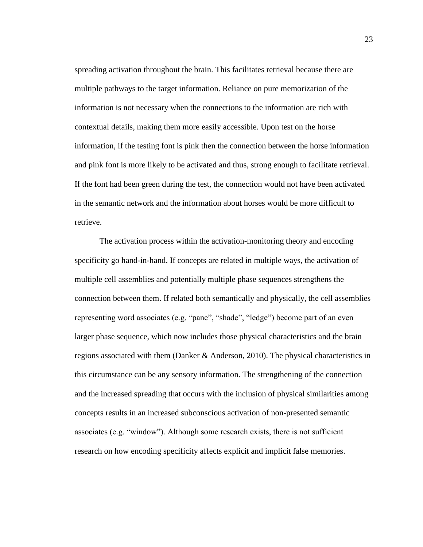spreading activation throughout the brain. This facilitates retrieval because there are multiple pathways to the target information. Reliance on pure memorization of the information is not necessary when the connections to the information are rich with contextual details, making them more easily accessible. Upon test on the horse information, if the testing font is pink then the connection between the horse information and pink font is more likely to be activated and thus, strong enough to facilitate retrieval. If the font had been green during the test, the connection would not have been activated in the semantic network and the information about horses would be more difficult to retrieve.

The activation process within the activation-monitoring theory and encoding specificity go hand-in-hand. If concepts are related in multiple ways, the activation of multiple cell assemblies and potentially multiple phase sequences strengthens the connection between them. If related both semantically and physically, the cell assemblies representing word associates (e.g. "pane", "shade", "ledge") become part of an even larger phase sequence, which now includes those physical characteristics and the brain regions associated with them (Danker & Anderson, 2010). The physical characteristics in this circumstance can be any sensory information. The strengthening of the connection and the increased spreading that occurs with the inclusion of physical similarities among concepts results in an increased subconscious activation of non-presented semantic associates (e.g. "window"). Although some research exists, there is not sufficient research on how encoding specificity affects explicit and implicit false memories.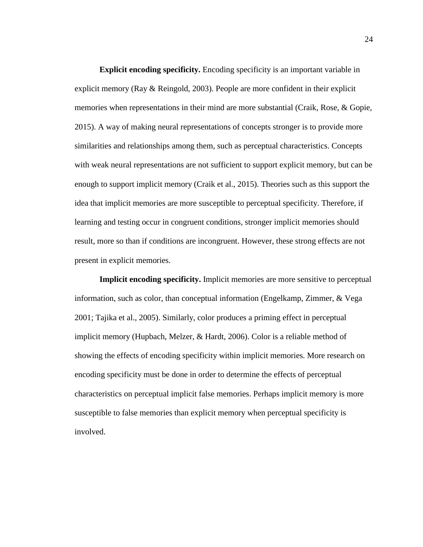<span id="page-33-0"></span>**Explicit encoding specificity.** Encoding specificity is an important variable in explicit memory (Ray & Reingold, 2003). People are more confident in their explicit memories when representations in their mind are more substantial (Craik, Rose, & Gopie, 2015). A way of making neural representations of concepts stronger is to provide more similarities and relationships among them, such as perceptual characteristics. Concepts with weak neural representations are not sufficient to support explicit memory, but can be enough to support implicit memory (Craik et al., 2015). Theories such as this support the idea that implicit memories are more susceptible to perceptual specificity. Therefore, if learning and testing occur in congruent conditions, stronger implicit memories should result, more so than if conditions are incongruent. However, these strong effects are not present in explicit memories.

<span id="page-33-1"></span>**Implicit encoding specificity.** Implicit memories are more sensitive to perceptual information, such as color, than conceptual information (Engelkamp, Zimmer, & Vega 2001; Tajika et al., 2005). Similarly, color produces a priming effect in perceptual implicit memory (Hupbach, Melzer, & Hardt, 2006). Color is a reliable method of showing the effects of encoding specificity within implicit memories. More research on encoding specificity must be done in order to determine the effects of perceptual characteristics on perceptual implicit false memories. Perhaps implicit memory is more susceptible to false memories than explicit memory when perceptual specificity is involved.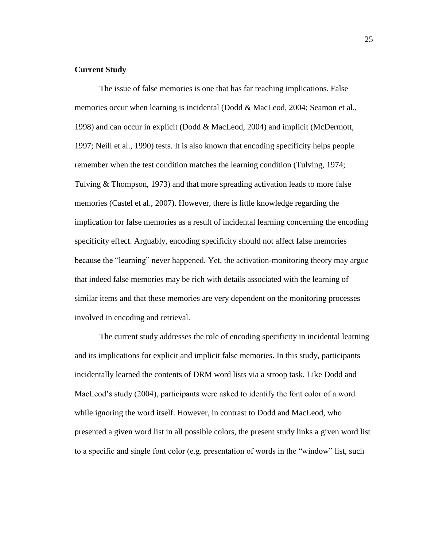## <span id="page-34-0"></span>**Current Study**

The issue of false memories is one that has far reaching implications. False memories occur when learning is incidental (Dodd & MacLeod, 2004; Seamon et al., 1998) and can occur in explicit (Dodd & MacLeod, 2004) and implicit (McDermott, 1997; Neill et al., 1990) tests. It is also known that encoding specificity helps people remember when the test condition matches the learning condition (Tulving, 1974; Tulving & Thompson, 1973) and that more spreading activation leads to more false memories (Castel et al., 2007). However, there is little knowledge regarding the implication for false memories as a result of incidental learning concerning the encoding specificity effect. Arguably, encoding specificity should not affect false memories because the "learning" never happened. Yet, the activation-monitoring theory may argue that indeed false memories may be rich with details associated with the learning of similar items and that these memories are very dependent on the monitoring processes involved in encoding and retrieval.

The current study addresses the role of encoding specificity in incidental learning and its implications for explicit and implicit false memories. In this study, participants incidentally learned the contents of DRM word lists via a stroop task. Like Dodd and MacLeod's study (2004), participants were asked to identify the font color of a word while ignoring the word itself. However, in contrast to Dodd and MacLeod, who presented a given word list in all possible colors, the present study links a given word list to a specific and single font color (e.g. presentation of words in the "window" list, such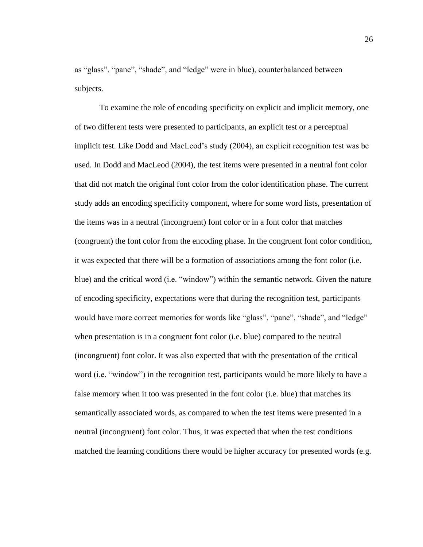as "glass", "pane", "shade"*,* and "ledge" were in blue), counterbalanced between subjects.

To examine the role of encoding specificity on explicit and implicit memory, one of two different tests were presented to participants, an explicit test or a perceptual implicit test. Like Dodd and MacLeod's study (2004), an explicit recognition test was be used. In Dodd and MacLeod (2004), the test items were presented in a neutral font color that did not match the original font color from the color identification phase. The current study adds an encoding specificity component, where for some word lists, presentation of the items was in a neutral (incongruent) font color or in a font color that matches (congruent) the font color from the encoding phase. In the congruent font color condition, it was expected that there will be a formation of associations among the font color (i.e. blue) and the critical word (i.e. "window") within the semantic network. Given the nature of encoding specificity, expectations were that during the recognition test, participants would have more correct memories for words like "glass", "pane", "shade", and "ledge" when presentation is in a congruent font color (i.e. blue) compared to the neutral (incongruent) font color. It was also expected that with the presentation of the critical word (i.e. "window") in the recognition test, participants would be more likely to have a false memory when it too was presented in the font color (i.e. blue) that matches its semantically associated words, as compared to when the test items were presented in a neutral (incongruent) font color. Thus, it was expected that when the test conditions matched the learning conditions there would be higher accuracy for presented words (e.g.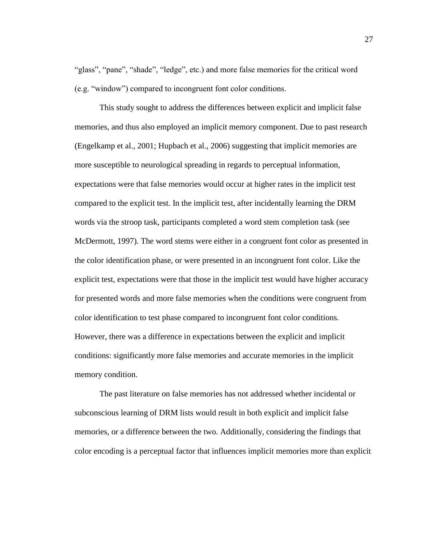"glass", "pane", "shade", "ledge", etc.) and more false memories for the critical word (e.g. "window") compared to incongruent font color conditions.

This study sought to address the differences between explicit and implicit false memories, and thus also employed an implicit memory component. Due to past research (Engelkamp et al., 2001; Hupbach et al., 2006) suggesting that implicit memories are more susceptible to neurological spreading in regards to perceptual information, expectations were that false memories would occur at higher rates in the implicit test compared to the explicit test. In the implicit test, after incidentally learning the DRM words via the stroop task, participants completed a word stem completion task (see McDermott, 1997). The word stems were either in a congruent font color as presented in the color identification phase, or were presented in an incongruent font color. Like the explicit test, expectations were that those in the implicit test would have higher accuracy for presented words and more false memories when the conditions were congruent from color identification to test phase compared to incongruent font color conditions. However, there was a difference in expectations between the explicit and implicit conditions: significantly more false memories and accurate memories in the implicit memory condition.

The past literature on false memories has not addressed whether incidental or subconscious learning of DRM lists would result in both explicit and implicit false memories, or a difference between the two. Additionally, considering the findings that color encoding is a perceptual factor that influences implicit memories more than explicit

27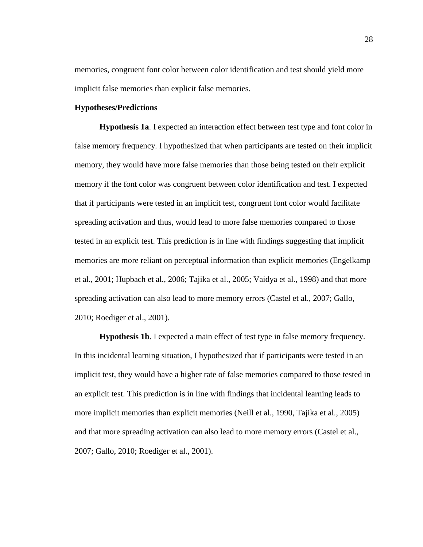memories, congruent font color between color identification and test should yield more implicit false memories than explicit false memories.

# **Hypotheses/Predictions**

**Hypothesis 1a**. I expected an interaction effect between test type and font color in false memory frequency. I hypothesized that when participants are tested on their implicit memory, they would have more false memories than those being tested on their explicit memory if the font color was congruent between color identification and test. I expected that if participants were tested in an implicit test, congruent font color would facilitate spreading activation and thus, would lead to more false memories compared to those tested in an explicit test. This prediction is in line with findings suggesting that implicit memories are more reliant on perceptual information than explicit memories (Engelkamp et al., 2001; Hupbach et al., 2006; Tajika et al., 2005; Vaidya et al., 1998) and that more spreading activation can also lead to more memory errors (Castel et al., 2007; Gallo, 2010; Roediger et al., 2001).

**Hypothesis 1b**. I expected a main effect of test type in false memory frequency. In this incidental learning situation, I hypothesized that if participants were tested in an implicit test, they would have a higher rate of false memories compared to those tested in an explicit test. This prediction is in line with findings that incidental learning leads to more implicit memories than explicit memories (Neill et al., 1990, Tajika et al., 2005) and that more spreading activation can also lead to more memory errors (Castel et al., 2007; Gallo, 2010; Roediger et al., 2001).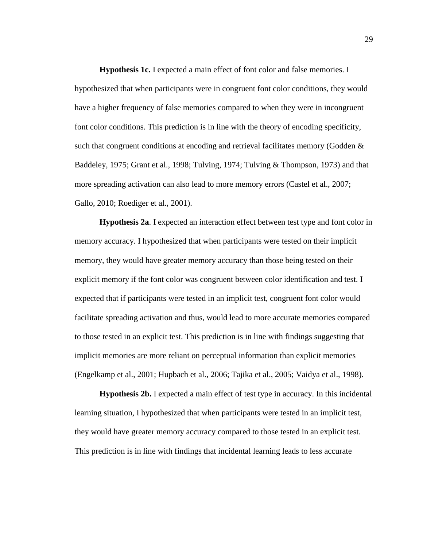**Hypothesis 1c.** I expected a main effect of font color and false memories. I hypothesized that when participants were in congruent font color conditions, they would have a higher frequency of false memories compared to when they were in incongruent font color conditions. This prediction is in line with the theory of encoding specificity, such that congruent conditions at encoding and retrieval facilitates memory (Godden  $\&$ Baddeley, 1975; Grant et al., 1998; Tulving, 1974; Tulving & Thompson, 1973) and that more spreading activation can also lead to more memory errors (Castel et al., 2007; Gallo, 2010; Roediger et al., 2001).

**Hypothesis 2a**. I expected an interaction effect between test type and font color in memory accuracy. I hypothesized that when participants were tested on their implicit memory, they would have greater memory accuracy than those being tested on their explicit memory if the font color was congruent between color identification and test. I expected that if participants were tested in an implicit test, congruent font color would facilitate spreading activation and thus, would lead to more accurate memories compared to those tested in an explicit test. This prediction is in line with findings suggesting that implicit memories are more reliant on perceptual information than explicit memories (Engelkamp et al., 2001; Hupbach et al., 2006; Tajika et al., 2005; Vaidya et al., 1998).

**Hypothesis 2b.** I expected a main effect of test type in accuracy. In this incidental learning situation, I hypothesized that when participants were tested in an implicit test, they would have greater memory accuracy compared to those tested in an explicit test. This prediction is in line with findings that incidental learning leads to less accurate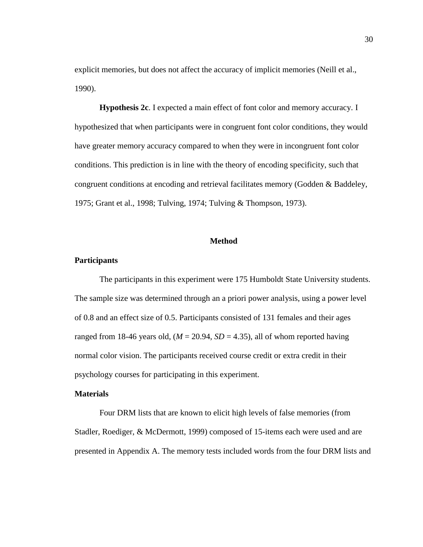explicit memories, but does not affect the accuracy of implicit memories (Neill et al., 1990).

**Hypothesis 2c**. I expected a main effect of font color and memory accuracy. I hypothesized that when participants were in congruent font color conditions, they would have greater memory accuracy compared to when they were in incongruent font color conditions. This prediction is in line with the theory of encoding specificity, such that congruent conditions at encoding and retrieval facilitates memory (Godden & Baddeley, 1975; Grant et al., 1998; Tulving, 1974; Tulving & Thompson, 1973).

## **Method**

## **Participants**

The participants in this experiment were 175 Humboldt State University students. The sample size was determined through an a priori power analysis, using a power level of 0.8 and an effect size of 0.5. Participants consisted of 131 females and their ages ranged from 18-46 years old,  $(M = 20.94, SD = 4.35)$ , all of whom reported having normal color vision. The participants received course credit or extra credit in their psychology courses for participating in this experiment.

#### **Materials**

Four DRM lists that are known to elicit high levels of false memories (from Stadler, Roediger, & McDermott, 1999) composed of 15-items each were used and are presented in Appendix A. The memory tests included words from the four DRM lists and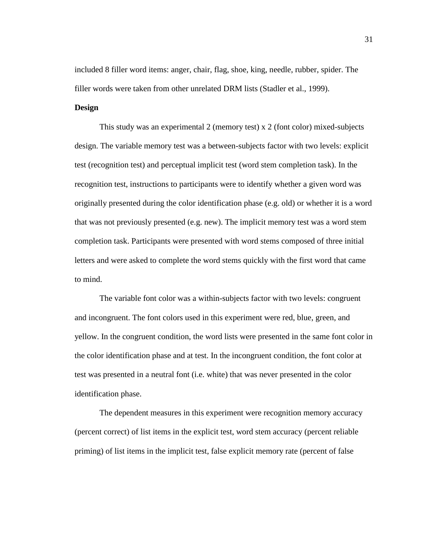included 8 filler word items: anger, chair, flag, shoe, king, needle, rubber, spider. The filler words were taken from other unrelated DRM lists (Stadler et al., 1999).

# **Design**

This study was an experimental 2 (memory test) x 2 (font color) mixed-subjects design. The variable memory test was a between-subjects factor with two levels: explicit test (recognition test) and perceptual implicit test (word stem completion task). In the recognition test, instructions to participants were to identify whether a given word was originally presented during the color identification phase (e.g. old) or whether it is a word that was not previously presented (e.g. new). The implicit memory test was a word stem completion task. Participants were presented with word stems composed of three initial letters and were asked to complete the word stems quickly with the first word that came to mind.

The variable font color was a within-subjects factor with two levels: congruent and incongruent. The font colors used in this experiment were red, blue, green, and yellow. In the congruent condition, the word lists were presented in the same font color in the color identification phase and at test. In the incongruent condition, the font color at test was presented in a neutral font (i.e. white) that was never presented in the color identification phase.

The dependent measures in this experiment were recognition memory accuracy (percent correct) of list items in the explicit test, word stem accuracy (percent reliable priming) of list items in the implicit test, false explicit memory rate (percent of false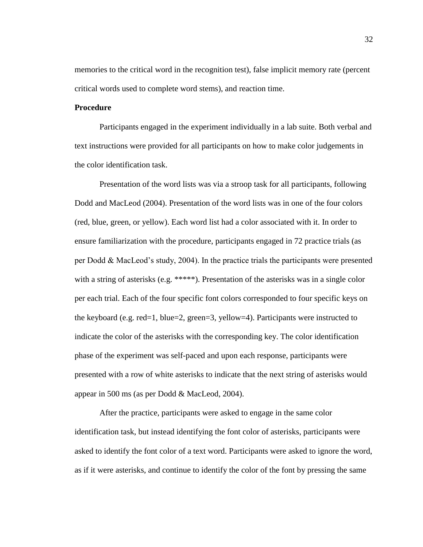memories to the critical word in the recognition test), false implicit memory rate (percent critical words used to complete word stems), and reaction time.

## **Procedure**

Participants engaged in the experiment individually in a lab suite. Both verbal and text instructions were provided for all participants on how to make color judgements in the color identification task.

Presentation of the word lists was via a stroop task for all participants, following Dodd and MacLeod (2004). Presentation of the word lists was in one of the four colors (red, blue, green, or yellow). Each word list had a color associated with it. In order to ensure familiarization with the procedure, participants engaged in 72 practice trials (as per Dodd & MacLeod's study, 2004). In the practice trials the participants were presented with a string of asterisks (e.g. \*\*\*\*\*). Presentation of the asterisks was in a single color per each trial. Each of the four specific font colors corresponded to four specific keys on the keyboard (e.g. red=1, blue=2, green=3, yellow=4). Participants were instructed to indicate the color of the asterisks with the corresponding key. The color identification phase of the experiment was self-paced and upon each response, participants were presented with a row of white asterisks to indicate that the next string of asterisks would appear in 500 ms (as per Dodd & MacLeod, 2004).

After the practice, participants were asked to engage in the same color identification task, but instead identifying the font color of asterisks, participants were asked to identify the font color of a text word. Participants were asked to ignore the word, as if it were asterisks, and continue to identify the color of the font by pressing the same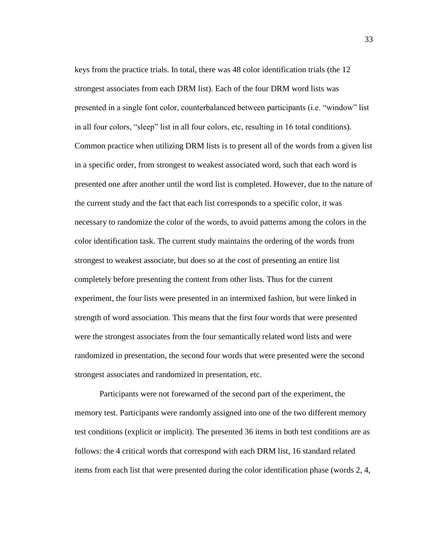keys from the practice trials. In total, there was 48 color identification trials (the 12 strongest associates from each DRM list). Each of the four DRM word lists was presented in a single font color, counterbalanced between participants (i.e. "window" list in all four colors, "sleep" list in all four colors, etc, resulting in 16 total conditions). Common practice when utilizing DRM lists is to present all of the words from a given list in a specific order, from strongest to weakest associated word, such that each word is presented one after another until the word list is completed. However, due to the nature of the current study and the fact that each list corresponds to a specific color, it was necessary to randomize the color of the words, to avoid patterns among the colors in the color identification task. The current study maintains the ordering of the words from strongest to weakest associate, but does so at the cost of presenting an entire list completely before presenting the content from other lists. Thus for the current experiment, the four lists were presented in an intermixed fashion, but were linked in strength of word association. This means that the first four words that were presented were the strongest associates from the four semantically related word lists and were randomized in presentation, the second four words that were presented were the second strongest associates and randomized in presentation, etc.

Participants were not forewarned of the second part of the experiment, the memory test. Participants were randomly assigned into one of the two different memory test conditions (explicit or implicit). The presented 36 items in both test conditions are as follows: the 4 critical words that correspond with each DRM list, 16 standard related items from each list that were presented during the color identification phase (words 2, 4,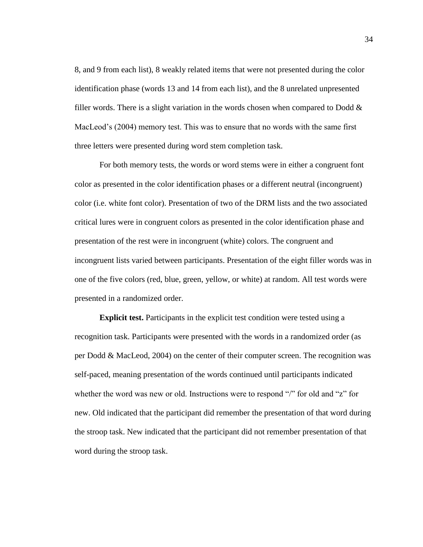8, and 9 from each list), 8 weakly related items that were not presented during the color identification phase (words 13 and 14 from each list), and the 8 unrelated unpresented filler words. There is a slight variation in the words chosen when compared to Dodd  $\&$ MacLeod's (2004) memory test. This was to ensure that no words with the same first three letters were presented during word stem completion task.

For both memory tests, the words or word stems were in either a congruent font color as presented in the color identification phases or a different neutral (incongruent) color (i.e. white font color). Presentation of two of the DRM lists and the two associated critical lures were in congruent colors as presented in the color identification phase and presentation of the rest were in incongruent (white) colors. The congruent and incongruent lists varied between participants. Presentation of the eight filler words was in one of the five colors (red, blue, green, yellow, or white) at random. All test words were presented in a randomized order.

**Explicit test.** Participants in the explicit test condition were tested using a recognition task. Participants were presented with the words in a randomized order (as per Dodd & MacLeod, 2004) on the center of their computer screen. The recognition was self-paced, meaning presentation of the words continued until participants indicated whether the word was new or old. Instructions were to respond "/" for old and "z" for new. Old indicated that the participant did remember the presentation of that word during the stroop task. New indicated that the participant did not remember presentation of that word during the stroop task.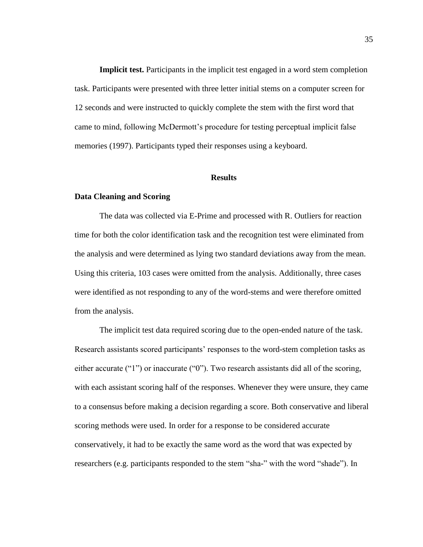**Implicit test.** Participants in the implicit test engaged in a word stem completion task. Participants were presented with three letter initial stems on a computer screen for 12 seconds and were instructed to quickly complete the stem with the first word that came to mind, following McDermott's procedure for testing perceptual implicit false memories (1997). Participants typed their responses using a keyboard.

#### **Results**

#### **Data Cleaning and Scoring**

The data was collected via E-Prime and processed with R. Outliers for reaction time for both the color identification task and the recognition test were eliminated from the analysis and were determined as lying two standard deviations away from the mean. Using this criteria, 103 cases were omitted from the analysis. Additionally, three cases were identified as not responding to any of the word-stems and were therefore omitted from the analysis.

The implicit test data required scoring due to the open-ended nature of the task. Research assistants scored participants' responses to the word-stem completion tasks as either accurate ("1") or inaccurate ("0"). Two research assistants did all of the scoring, with each assistant scoring half of the responses. Whenever they were unsure, they came to a consensus before making a decision regarding a score. Both conservative and liberal scoring methods were used. In order for a response to be considered accurate conservatively, it had to be exactly the same word as the word that was expected by researchers (e.g. participants responded to the stem "sha-" with the word "shade"). In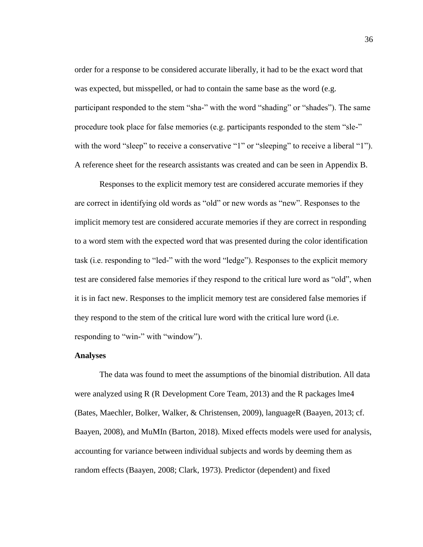order for a response to be considered accurate liberally, it had to be the exact word that was expected, but misspelled, or had to contain the same base as the word (e.g. participant responded to the stem "sha-" with the word "shading" or "shades"). The same procedure took place for false memories (e.g. participants responded to the stem "sle-" with the word "sleep" to receive a conservative "1" or "sleeping" to receive a liberal "1"). A reference sheet for the research assistants was created and can be seen in Appendix B.

Responses to the explicit memory test are considered accurate memories if they are correct in identifying old words as "old" or new words as "new". Responses to the implicit memory test are considered accurate memories if they are correct in responding to a word stem with the expected word that was presented during the color identification task (i.e. responding to "led-" with the word "ledge"). Responses to the explicit memory test are considered false memories if they respond to the critical lure word as "old", when it is in fact new. Responses to the implicit memory test are considered false memories if they respond to the stem of the critical lure word with the critical lure word (i.e. responding to "win-" with "window").

### **Analyses**

The data was found to meet the assumptions of the binomial distribution. All data were analyzed using R (R Development Core Team, 2013) and the R packages lme4 (Bates, Maechler, Bolker, Walker, & Christensen, 2009), languageR (Baayen, 2013; cf. Baayen, 2008), and MuMIn (Barton, 2018). Mixed effects models were used for analysis, accounting for variance between individual subjects and words by deeming them as random effects (Baayen, 2008; Clark, 1973). Predictor (dependent) and fixed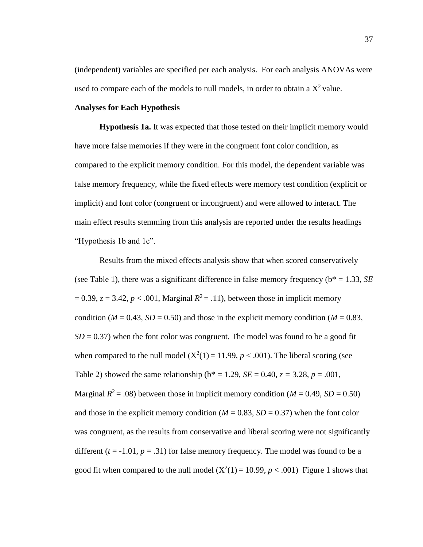(independent) variables are specified per each analysis. For each analysis ANOVAs were used to compare each of the models to null models, in order to obtain a  $X^2$  value.

## **Analyses for Each Hypothesis**

**Hypothesis 1a.** It was expected that those tested on their implicit memory would have more false memories if they were in the congruent font color condition, as compared to the explicit memory condition. For this model, the dependent variable was false memory frequency, while the fixed effects were memory test condition (explicit or implicit) and font color (congruent or incongruent) and were allowed to interact. The main effect results stemming from this analysis are reported under the results headings "Hypothesis 1b and 1c".

Results from the mixed effects analysis show that when scored conservatively (see Table 1), there was a significant difference in false memory frequency ( $b^* = 1.33$ , *SE*)  $= 0.39$ ,  $z = 3.42$ ,  $p < .001$ , Marginal  $R^2 = .11$ ), between those in implicit memory condition ( $M = 0.43$ ,  $SD = 0.50$ ) and those in the explicit memory condition ( $M = 0.83$ ,  $SD = 0.37$ ) when the font color was congruent. The model was found to be a good fit when compared to the null model  $(X^2(1) = 11.99, p < .001)$ . The liberal scoring (see Table 2) showed the same relationship ( $b^* = 1.29$ ,  $SE = 0.40$ ,  $z = 3.28$ ,  $p = .001$ , Marginal  $R^2 = .08$ ) between those in implicit memory condition ( $M = 0.49$ ,  $SD = 0.50$ ) and those in the explicit memory condition ( $M = 0.83$ ,  $SD = 0.37$ ) when the font color was congruent, as the results from conservative and liberal scoring were not significantly different  $(t = -1.01, p = .31)$  for false memory frequency. The model was found to be a good fit when compared to the null model  $(X^2(1) = 10.99, p < .001)$  Figure 1 shows that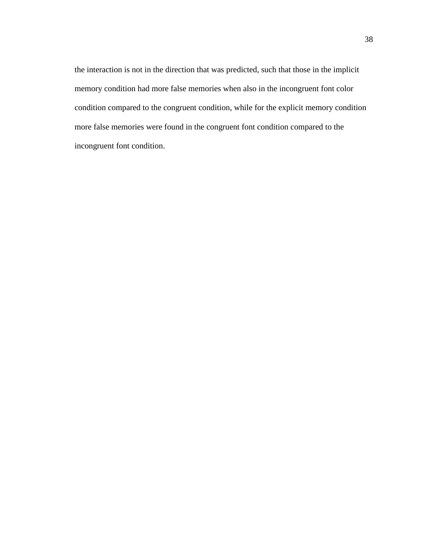the interaction is not in the direction that was predicted, such that those in the implicit memory condition had more false memories when also in the incongruent font color condition compared to the congruent condition, while for the explicit memory condition more false memories were found in the congruent font condition compared to the incongruent font condition.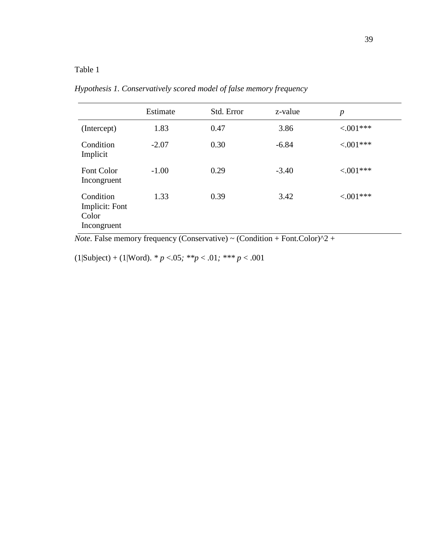# Table 1

|                                                     | Estimate | Std. Error | z-value | $\boldsymbol{p}$ |
|-----------------------------------------------------|----------|------------|---------|------------------|
| (Intercept)                                         | 1.83     | 0.47       | 3.86    | $< 0.01***$      |
| Condition<br>Implicit                               | $-2.07$  | 0.30       | $-6.84$ | $< 0.01***$      |
| Font Color<br>Incongruent                           | $-1.00$  | 0.29       | $-3.40$ | $< 0.01***$      |
| Condition<br>Implicit: Font<br>Color<br>Incongruent | 1.33     | 0.39       | 3.42    | $< .001***$      |

*Hypothesis 1. Conservatively scored model of false memory frequency*

*Note.* False memory frequency (Conservative)  $\sim$  (Condition + Font.Color)<sup> $\wedge$ 2 +</sup>

 $(1|\text{Subject}) + (1|\text{Word})$ . *\* p* <.05; \*\**p* < .01; \*\*\* *p* < .001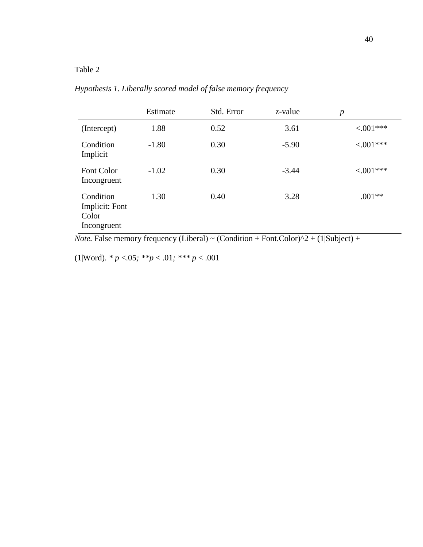# Table 2

|                                                     | Estimate | Std. Error | z-value | $\boldsymbol{p}$ |
|-----------------------------------------------------|----------|------------|---------|------------------|
| (Intercept)                                         | 1.88     | 0.52       | 3.61    | $< 0.01***$      |
| Condition<br>Implicit                               | $-1.80$  | 0.30       | $-5.90$ | $< 0.01***$      |
| <b>Font Color</b><br>Incongruent                    | $-1.02$  | 0.30       | $-3.44$ | $< 0.01***$      |
| Condition<br>Implicit: Font<br>Color<br>Incongruent | 1.30     | 0.40       | 3.28    | $.001**$         |

*Hypothesis 1. Liberally scored model of false memory frequency*

*Note.* False memory frequency (Liberal) ~ (Condition + Font.Color) $\frac{\lambda_2 + (1|\text{Subject}) + (1|\text{Subject})}{\lambda_2 + (1|\text{Subject})}$ 

(1|Word). *\* p* <.05*; \*\*p* < .01*; \*\*\* p* < .001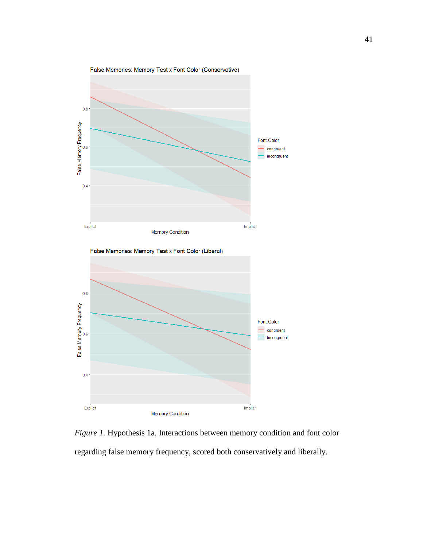



*Figure 1.* Hypothesis 1a. Interactions between memory condition and font color regarding false memory frequency, scored both conservatively and liberally.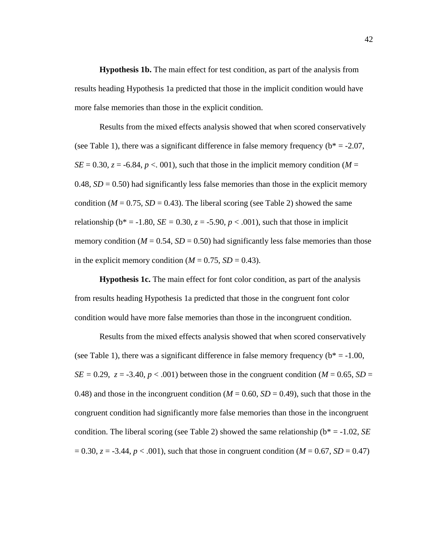**Hypothesis 1b.** The main effect for test condition, as part of the analysis from results heading Hypothesis 1a predicted that those in the implicit condition would have more false memories than those in the explicit condition.

Results from the mixed effects analysis showed that when scored conservatively (see Table 1), there was a significant difference in false memory frequency ( $b^* = -2.07$ ,  $SE = 0.30$ ,  $z = -6.84$ ,  $p < 0.001$ ), such that those in the implicit memory condition ( $M =$ 0.48,  $SD = 0.50$ ) had significantly less false memories than those in the explicit memory condition ( $M = 0.75$ ,  $SD = 0.43$ ). The liberal scoring (see Table 2) showed the same relationship ( $b^* = -1.80$ ,  $SE = 0.30$ ,  $z = -5.90$ ,  $p < .001$ ), such that those in implicit memory condition ( $M = 0.54$ ,  $SD = 0.50$ ) had significantly less false memories than those in the explicit memory condition  $(M = 0.75, SD = 0.43)$ .

**Hypothesis 1c.** The main effect for font color condition, as part of the analysis from results heading Hypothesis 1a predicted that those in the congruent font color condition would have more false memories than those in the incongruent condition.

Results from the mixed effects analysis showed that when scored conservatively (see Table 1), there was a significant difference in false memory frequency ( $b^* = -1.00$ , *SE* = 0.29, *z* = -3.40, *p* < .001) between those in the congruent condition (*M* = 0.65, *SD* = 0.48) and those in the incongruent condition ( $M = 0.60$ ,  $SD = 0.49$ ), such that those in the congruent condition had significantly more false memories than those in the incongruent condition. The liberal scoring (see Table 2) showed the same relationship (b\* = -1.02, *SE*  $= 0.30, z = -3.44, p < .001$ , such that those in congruent condition (*M* = 0.67, *SD* = 0.47)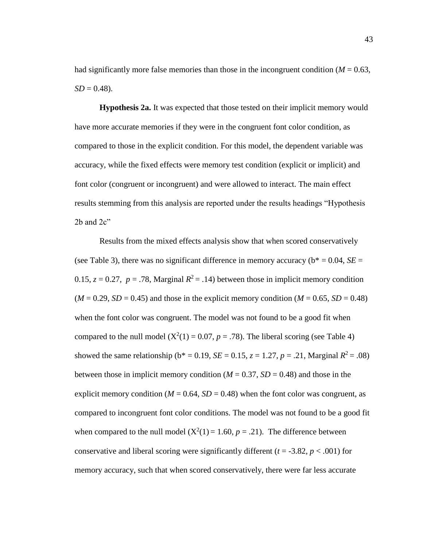had significantly more false memories than those in the incongruent condition ( $M = 0.63$ ,  $SD = 0.48$ .

**Hypothesis 2a.** It was expected that those tested on their implicit memory would have more accurate memories if they were in the congruent font color condition, as compared to those in the explicit condition. For this model, the dependent variable was accuracy, while the fixed effects were memory test condition (explicit or implicit) and font color (congruent or incongruent) and were allowed to interact. The main effect results stemming from this analysis are reported under the results headings "Hypothesis  $2b$  and  $2c$ "

Results from the mixed effects analysis show that when scored conservatively (see Table 3), there was no significant difference in memory accuracy ( $b^* = 0.04$ ,  $SE =$ 0.15,  $z = 0.27$ ,  $p = .78$ , Marginal  $R^2 = .14$ ) between those in implicit memory condition  $(M = 0.29, SD = 0.45)$  and those in the explicit memory condition  $(M = 0.65, SD = 0.48)$ when the font color was congruent. The model was not found to be a good fit when compared to the null model  $(X^2(1) = 0.07, p = .78)$ . The liberal scoring (see Table 4) showed the same relationship ( $b^* = 0.19$ , *SE* = 0.15, *z* = 1.27, *p* = .21, Marginal  $R^2 = .08$ ) between those in implicit memory condition  $(M = 0.37, SD = 0.48)$  and those in the explicit memory condition ( $M = 0.64$ ,  $SD = 0.48$ ) when the font color was congruent, as compared to incongruent font color conditions. The model was not found to be a good fit when compared to the null model  $(X^2(1) = 1.60, p = .21)$ . The difference between conservative and liberal scoring were significantly different  $(t = -3.82, p < .001)$  for memory accuracy, such that when scored conservatively, there were far less accurate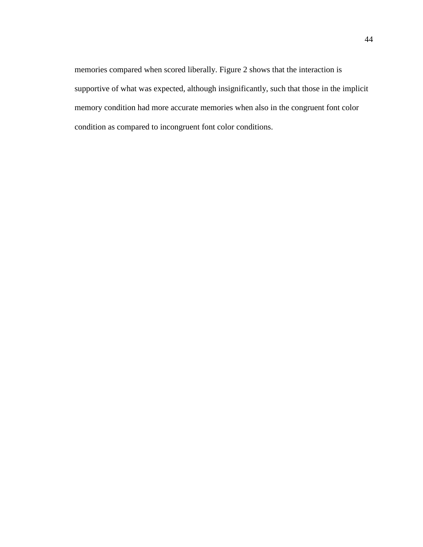memories compared when scored liberally. Figure 2 shows that the interaction is supportive of what was expected, although insignificantly, such that those in the implicit memory condition had more accurate memories when also in the congruent font color condition as compared to incongruent font color conditions.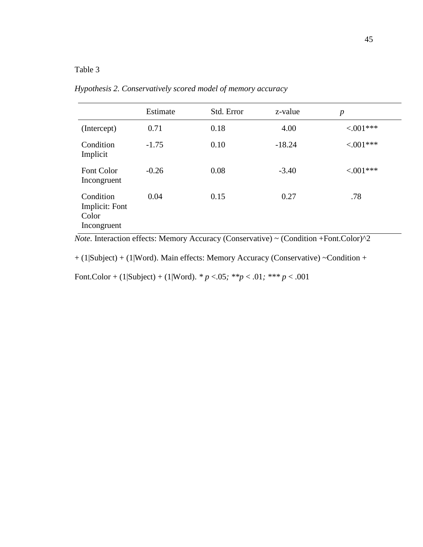# Table 3

|                                                     | Estimate | Std. Error | z-value  | $\boldsymbol{p}$ |
|-----------------------------------------------------|----------|------------|----------|------------------|
| (Intercept)                                         | 0.71     | 0.18       | 4.00     | $< 0.01***$      |
| Condition<br>Implicit                               | $-1.75$  | 0.10       | $-18.24$ | $< 0.01***$      |
| Font Color<br>Incongruent                           | $-0.26$  | 0.08       | $-3.40$  | $< 0.01***$      |
| Condition<br>Implicit: Font<br>Color<br>Incongruent | 0.04     | 0.15       | 0.27     | .78              |

*Hypothesis 2. Conservatively scored model of memory accuracy*

*Note.* Interaction effects: Memory Accuracy (Conservative) ~ (Condition +Font.Color)^2

+ (1|Subject) + (1|Word). Main effects: Memory Accuracy (Conservative) ~Condition +

Font.Color + (1|Subject) + (1|Word). *\* p* <.05*; \*\*p* < .01*; \*\*\* p* < .001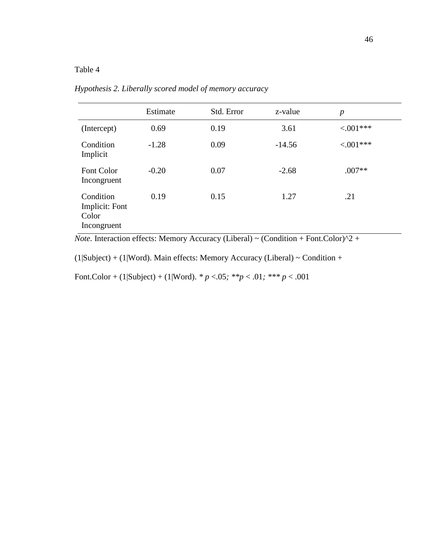# Table 4

|                                                     | Estimate | Std. Error | z-value  | $\boldsymbol{p}$ |
|-----------------------------------------------------|----------|------------|----------|------------------|
| (Intercept)                                         | 0.69     | 0.19       | 3.61     | $< 0.01***$      |
| Condition<br>Implicit                               | $-1.28$  | 0.09       | $-14.56$ | $< 0.01***$      |
| Font Color<br>Incongruent                           | $-0.20$  | 0.07       | $-2.68$  | $.007**$         |
| Condition<br>Implicit: Font<br>Color<br>Incongruent | 0.19     | 0.15       | 1.27     | .21              |

*Hypothesis 2. Liberally scored model of memory accuracy*

*Note.* Interaction effects: Memory Accuracy (Liberal) ~ (Condition + Font.Color) $^2$  +

(1|Subject) + (1|Word). Main effects: Memory Accuracy (Liberal) ~ Condition +

Font.Color + (1|Subject) + (1|Word). *\* p* <.05*; \*\*p* < .01*; \*\*\* p* < .001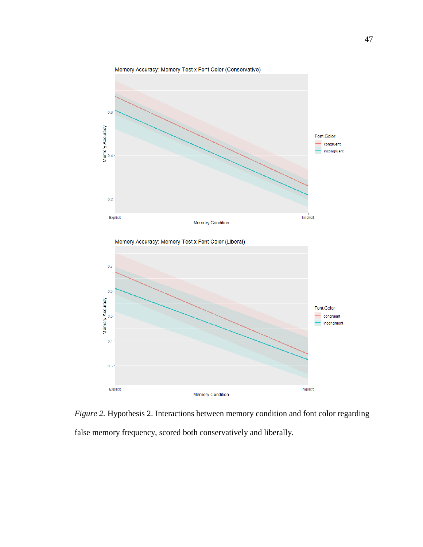

*Figure 2.* Hypothesis 2. Interactions between memory condition and font color regarding false memory frequency, scored both conservatively and liberally.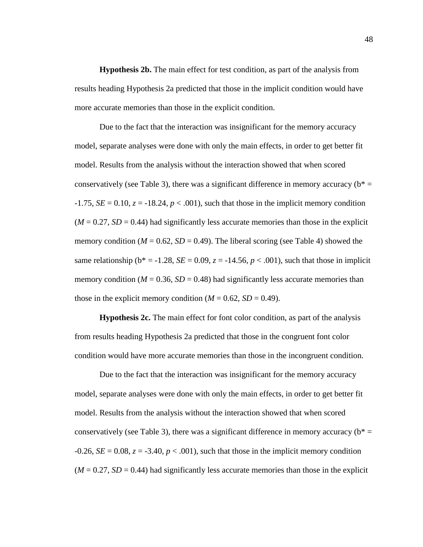**Hypothesis 2b.** The main effect for test condition, as part of the analysis from results heading Hypothesis 2a predicted that those in the implicit condition would have more accurate memories than those in the explicit condition.

Due to the fact that the interaction was insignificant for the memory accuracy model, separate analyses were done with only the main effects, in order to get better fit model. Results from the analysis without the interaction showed that when scored conservatively (see Table 3), there was a significant difference in memory accuracy ( $b^*$  =  $-1.75$ , *SE* = 0.10, *z* =  $-18.24$ , *p* < .001), such that those in the implicit memory condition  $(M = 0.27, SD = 0.44)$  had significantly less accurate memories than those in the explicit memory condition ( $M = 0.62$ ,  $SD = 0.49$ ). The liberal scoring (see Table 4) showed the same relationship ( $b^* = -1.28$ ,  $SE = 0.09$ ,  $z = -14.56$ ,  $p < .001$ ), such that those in implicit memory condition ( $M = 0.36$ ,  $SD = 0.48$ ) had significantly less accurate memories than those in the explicit memory condition  $(M = 0.62, SD = 0.49)$ .

**Hypothesis 2c.** The main effect for font color condition, as part of the analysis from results heading Hypothesis 2a predicted that those in the congruent font color condition would have more accurate memories than those in the incongruent condition.

Due to the fact that the interaction was insignificant for the memory accuracy model, separate analyses were done with only the main effects, in order to get better fit model. Results from the analysis without the interaction showed that when scored conservatively (see Table 3), there was a significant difference in memory accuracy ( $b^*$  =  $-0.26$ , *SE* = 0.08, *z* =  $-3.40$ , *p* < .001), such that those in the implicit memory condition  $(M = 0.27, SD = 0.44)$  had significantly less accurate memories than those in the explicit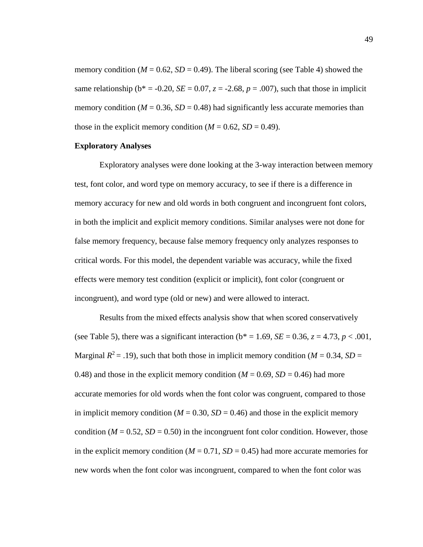memory condition ( $M = 0.62$ ,  $SD = 0.49$ ). The liberal scoring (see Table 4) showed the same relationship ( $b^* = -0.20$ ,  $SE = 0.07$ ,  $z = -2.68$ ,  $p = .007$ ), such that those in implicit memory condition ( $M = 0.36$ ,  $SD = 0.48$ ) had significantly less accurate memories than those in the explicit memory condition  $(M = 0.62, SD = 0.49)$ .

### **Exploratory Analyses**

Exploratory analyses were done looking at the 3-way interaction between memory test, font color, and word type on memory accuracy, to see if there is a difference in memory accuracy for new and old words in both congruent and incongruent font colors, in both the implicit and explicit memory conditions. Similar analyses were not done for false memory frequency, because false memory frequency only analyzes responses to critical words. For this model, the dependent variable was accuracy, while the fixed effects were memory test condition (explicit or implicit), font color (congruent or incongruent), and word type (old or new) and were allowed to interact.

Results from the mixed effects analysis show that when scored conservatively (see Table 5), there was a significant interaction ( $b^* = 1.69$ , *SE* = 0.36, *z* = 4.73, *p* < .001, Marginal  $R^2 = .19$ ), such that both those in implicit memory condition ( $M = 0.34$ ,  $SD =$ 0.48) and those in the explicit memory condition  $(M = 0.69, SD = 0.46)$  had more accurate memories for old words when the font color was congruent, compared to those in implicit memory condition ( $M = 0.30$ ,  $SD = 0.46$ ) and those in the explicit memory condition ( $M = 0.52$ ,  $SD = 0.50$ ) in the incongruent font color condition. However, those in the explicit memory condition  $(M = 0.71, SD = 0.45)$  had more accurate memories for new words when the font color was incongruent, compared to when the font color was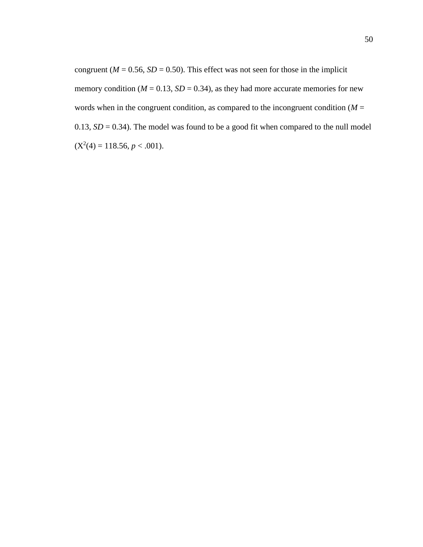congruent ( $M = 0.56$ ,  $SD = 0.50$ ). This effect was not seen for those in the implicit memory condition ( $M = 0.13$ ,  $SD = 0.34$ ), as they had more accurate memories for new words when in the congruent condition, as compared to the incongruent condition  $(M =$ 0.13,  $SD = 0.34$ ). The model was found to be a good fit when compared to the null model  $(X^2(4) = 118.56, p < .001).$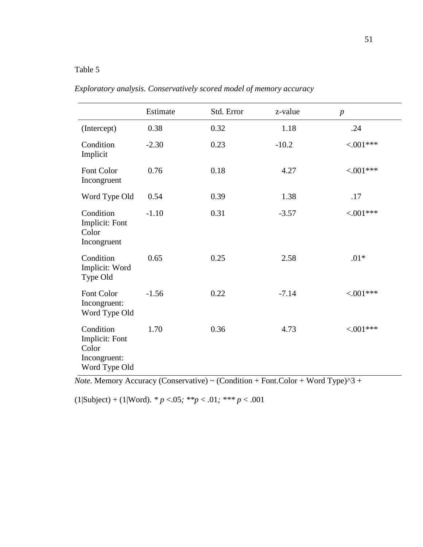# Table 5

|                                                                       | Estimate | Std. Error | z-value | $\boldsymbol{p}$ |
|-----------------------------------------------------------------------|----------|------------|---------|------------------|
| (Intercept)                                                           | 0.38     | 0.32       | 1.18    | .24              |
| Condition<br>Implicit                                                 | $-2.30$  | 0.23       | $-10.2$ | $< 001***$       |
| Font Color<br>Incongruent                                             | 0.76     | 0.18       | 4.27    | $< 001***$       |
| Word Type Old                                                         | 0.54     | 0.39       | 1.38    | .17              |
| Condition<br>Implicit: Font<br>Color<br>Incongruent                   | $-1.10$  | 0.31       | $-3.57$ | $< 0.01***$      |
| Condition<br>Implicit: Word<br>Type Old                               | 0.65     | 0.25       | 2.58    | $.01*$           |
| Font Color<br>Incongruent:<br>Word Type Old                           | $-1.56$  | 0.22       | $-7.14$ | ${<}001***$      |
| Condition<br>Implicit: Font<br>Color<br>Incongruent:<br>Word Type Old | 1.70     | 0.36       | 4.73    | $< 001***$       |

| Exploratory analysis. Conservatively scored model of memory accuracy |
|----------------------------------------------------------------------|
|----------------------------------------------------------------------|

*Note.* Memory Accuracy (Conservative) ~ (Condition + Font.Color + Word Type)^3 +

 $(1|\text{Subject}) + (1|\text{Word})$ . *\* p* <.05; \*\**p* < .01; \*\*\* *p* < .001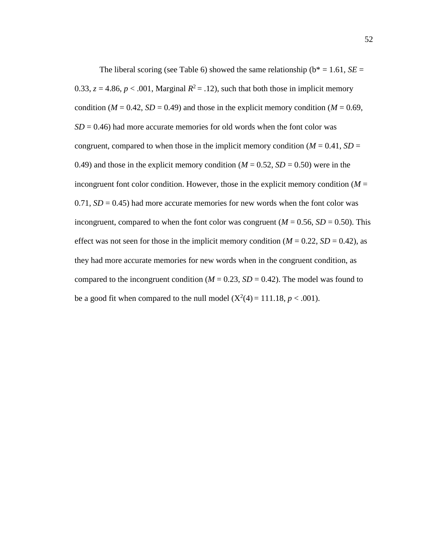The liberal scoring (see Table 6) showed the same relationship ( $b^* = 1.61$ , *SE* = 0.33,  $z = 4.86$ ,  $p < .001$ , Marginal  $R^2 = .12$ ), such that both those in implicit memory condition ( $M = 0.42$ ,  $SD = 0.49$ ) and those in the explicit memory condition ( $M = 0.69$ ,  $SD = 0.46$ ) had more accurate memories for old words when the font color was congruent, compared to when those in the implicit memory condition ( $M = 0.41$ ,  $SD =$ 0.49) and those in the explicit memory condition  $(M = 0.52, SD = 0.50)$  were in the incongruent font color condition. However, those in the explicit memory condition  $(M =$  $0.71$ ,  $SD = 0.45$ ) had more accurate memories for new words when the font color was incongruent, compared to when the font color was congruent ( $M = 0.56$ ,  $SD = 0.50$ ). This effect was not seen for those in the implicit memory condition  $(M = 0.22, SD = 0.42)$ , as they had more accurate memories for new words when in the congruent condition, as compared to the incongruent condition ( $M = 0.23$ ,  $SD = 0.42$ ). The model was found to be a good fit when compared to the null model  $(X^2(4) = 111.18, p < .001)$ .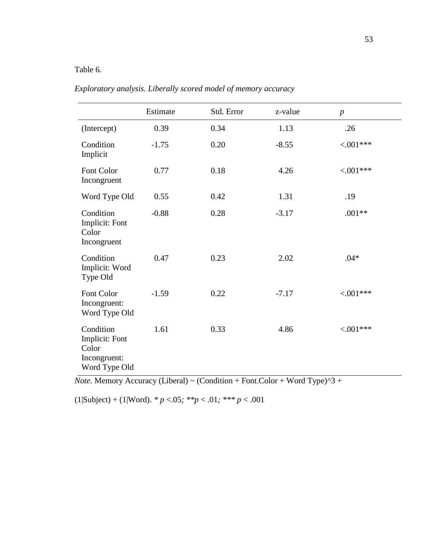# Table 6*.*

|                                                                       | Estimate | Std. Error | z-value | $\boldsymbol{p}$ |
|-----------------------------------------------------------------------|----------|------------|---------|------------------|
| (Intercept)                                                           | 0.39     | 0.34       | 1.13    | .26              |
| Condition<br>Implicit                                                 | $-1.75$  | 0.20       | $-8.55$ | $< 0.01***$      |
| Font Color<br>Incongruent                                             | 0.77     | 0.18       | 4.26    | $< 001***$       |
| Word Type Old                                                         | 0.55     | 0.42       | 1.31    | .19              |
| Condition<br>Implicit: Font<br>Color<br>Incongruent                   | $-0.88$  | 0.28       | $-3.17$ | $.001**$         |
| Condition<br>Implicit: Word<br>Type Old                               | 0.47     | 0.23       | 2.02    | $.04*$           |
| Font Color<br>Incongruent:<br>Word Type Old                           | $-1.59$  | 0.22       | $-7.17$ | $< 001***$       |
| Condition<br>Implicit: Font<br>Color<br>Incongruent:<br>Word Type Old | 1.61     | 0.33       | 4.86    | $< 001***$       |

*Exploratory analysis. Liberally scored model of memory accuracy*

*Note.* Memory Accuracy (Liberal) ~ (Condition + Font.Color + Word Type)^3 +

 $(1|\text{Subject}) + (1|\text{Word})$ . *\* p* <.05*; \*\*p* < .01*; \*\*\* p* < .001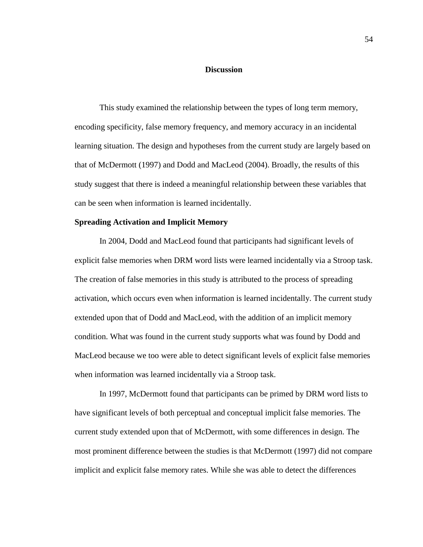### **Discussion**

This study examined the relationship between the types of long term memory, encoding specificity, false memory frequency, and memory accuracy in an incidental learning situation. The design and hypotheses from the current study are largely based on that of McDermott (1997) and Dodd and MacLeod (2004). Broadly, the results of this study suggest that there is indeed a meaningful relationship between these variables that can be seen when information is learned incidentally.

#### **Spreading Activation and Implicit Memory**

In 2004, Dodd and MacLeod found that participants had significant levels of explicit false memories when DRM word lists were learned incidentally via a Stroop task. The creation of false memories in this study is attributed to the process of spreading activation, which occurs even when information is learned incidentally. The current study extended upon that of Dodd and MacLeod, with the addition of an implicit memory condition. What was found in the current study supports what was found by Dodd and MacLeod because we too were able to detect significant levels of explicit false memories when information was learned incidentally via a Stroop task.

In 1997, McDermott found that participants can be primed by DRM word lists to have significant levels of both perceptual and conceptual implicit false memories. The current study extended upon that of McDermott, with some differences in design. The most prominent difference between the studies is that McDermott (1997) did not compare implicit and explicit false memory rates. While she was able to detect the differences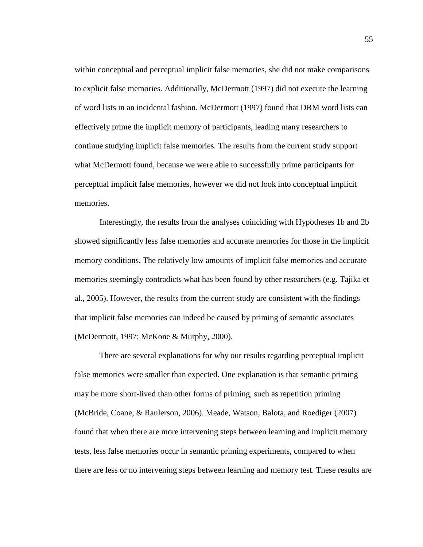within conceptual and perceptual implicit false memories, she did not make comparisons to explicit false memories. Additionally, McDermott (1997) did not execute the learning of word lists in an incidental fashion. McDermott (1997) found that DRM word lists can effectively prime the implicit memory of participants, leading many researchers to continue studying implicit false memories. The results from the current study support what McDermott found, because we were able to successfully prime participants for perceptual implicit false memories, however we did not look into conceptual implicit memories.

Interestingly, the results from the analyses coinciding with Hypotheses 1b and 2b showed significantly less false memories and accurate memories for those in the implicit memory conditions. The relatively low amounts of implicit false memories and accurate memories seemingly contradicts what has been found by other researchers (e.g. Tajika et al., 2005). However, the results from the current study are consistent with the findings that implicit false memories can indeed be caused by priming of semantic associates (McDermott, 1997; McKone & Murphy, 2000).

There are several explanations for why our results regarding perceptual implicit false memories were smaller than expected. One explanation is that semantic priming may be more short-lived than other forms of priming, such as repetition priming (McBride, Coane, & Raulerson, 2006). Meade, Watson, Balota, and Roediger (2007) found that when there are more intervening steps between learning and implicit memory tests, less false memories occur in semantic priming experiments, compared to when there are less or no intervening steps between learning and memory test. These results are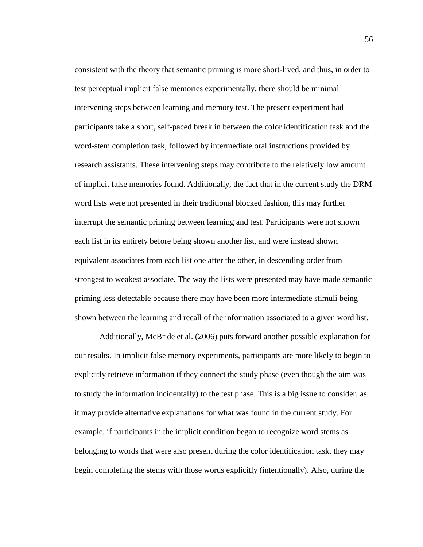consistent with the theory that semantic priming is more short-lived, and thus, in order to test perceptual implicit false memories experimentally, there should be minimal intervening steps between learning and memory test. The present experiment had participants take a short, self-paced break in between the color identification task and the word-stem completion task, followed by intermediate oral instructions provided by research assistants. These intervening steps may contribute to the relatively low amount of implicit false memories found. Additionally, the fact that in the current study the DRM word lists were not presented in their traditional blocked fashion, this may further interrupt the semantic priming between learning and test. Participants were not shown each list in its entirety before being shown another list, and were instead shown equivalent associates from each list one after the other, in descending order from strongest to weakest associate. The way the lists were presented may have made semantic priming less detectable because there may have been more intermediate stimuli being shown between the learning and recall of the information associated to a given word list.

Additionally, McBride et al. (2006) puts forward another possible explanation for our results. In implicit false memory experiments, participants are more likely to begin to explicitly retrieve information if they connect the study phase (even though the aim was to study the information incidentally) to the test phase. This is a big issue to consider, as it may provide alternative explanations for what was found in the current study. For example, if participants in the implicit condition began to recognize word stems as belonging to words that were also present during the color identification task, they may begin completing the stems with those words explicitly (intentionally). Also, during the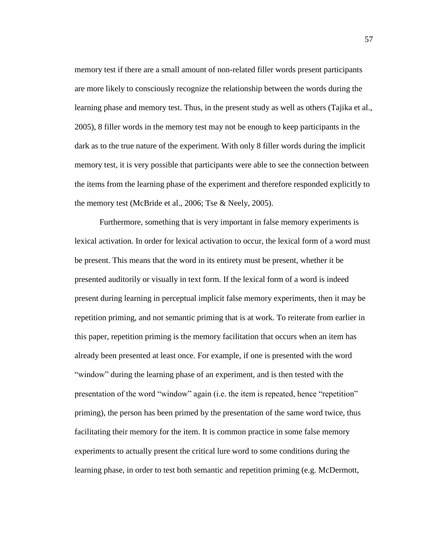memory test if there are a small amount of non-related filler words present participants are more likely to consciously recognize the relationship between the words during the learning phase and memory test. Thus, in the present study as well as others (Tajika et al., 2005), 8 filler words in the memory test may not be enough to keep participants in the dark as to the true nature of the experiment. With only 8 filler words during the implicit memory test, it is very possible that participants were able to see the connection between the items from the learning phase of the experiment and therefore responded explicitly to the memory test (McBride et al., 2006; Tse & Neely, 2005).

Furthermore, something that is very important in false memory experiments is lexical activation. In order for lexical activation to occur, the lexical form of a word must be present. This means that the word in its entirety must be present, whether it be presented auditorily or visually in text form. If the lexical form of a word is indeed present during learning in perceptual implicit false memory experiments, then it may be repetition priming, and not semantic priming that is at work. To reiterate from earlier in this paper, repetition priming is the memory facilitation that occurs when an item has already been presented at least once. For example, if one is presented with the word "window" during the learning phase of an experiment, and is then tested with the presentation of the word "window" again (i.e. the item is repeated, hence "repetition" priming), the person has been primed by the presentation of the same word twice, thus facilitating their memory for the item. It is common practice in some false memory experiments to actually present the critical lure word to some conditions during the learning phase, in order to test both semantic and repetition priming (e.g. McDermott,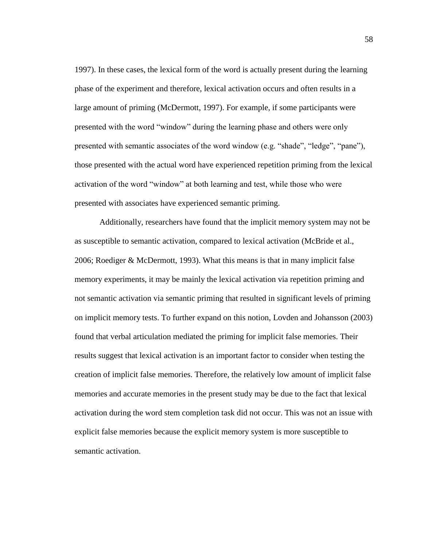1997). In these cases, the lexical form of the word is actually present during the learning phase of the experiment and therefore, lexical activation occurs and often results in a large amount of priming (McDermott, 1997). For example, if some participants were presented with the word "window" during the learning phase and others were only presented with semantic associates of the word window (e.g. "shade", "ledge", "pane"), those presented with the actual word have experienced repetition priming from the lexical activation of the word "window" at both learning and test, while those who were presented with associates have experienced semantic priming.

Additionally, researchers have found that the implicit memory system may not be as susceptible to semantic activation, compared to lexical activation (McBride et al., 2006; Roediger & McDermott, 1993). What this means is that in many implicit false memory experiments, it may be mainly the lexical activation via repetition priming and not semantic activation via semantic priming that resulted in significant levels of priming on implicit memory tests. To further expand on this notion, Lovden and Johansson (2003) found that verbal articulation mediated the priming for implicit false memories. Their results suggest that lexical activation is an important factor to consider when testing the creation of implicit false memories. Therefore, the relatively low amount of implicit false memories and accurate memories in the present study may be due to the fact that lexical activation during the word stem completion task did not occur. This was not an issue with explicit false memories because the explicit memory system is more susceptible to semantic activation.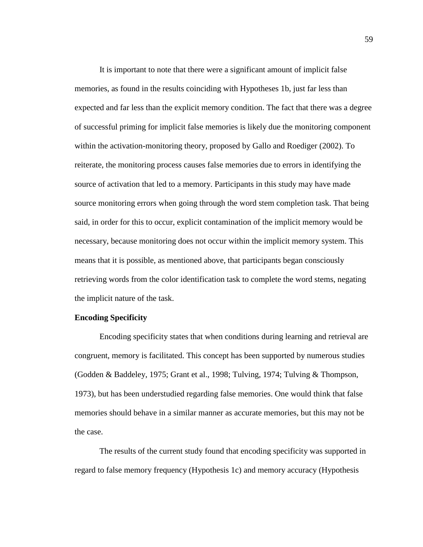It is important to note that there were a significant amount of implicit false memories, as found in the results coinciding with Hypotheses 1b, just far less than expected and far less than the explicit memory condition. The fact that there was a degree of successful priming for implicit false memories is likely due the monitoring component within the activation-monitoring theory, proposed by Gallo and Roediger (2002). To reiterate, the monitoring process causes false memories due to errors in identifying the source of activation that led to a memory. Participants in this study may have made source monitoring errors when going through the word stem completion task. That being said, in order for this to occur, explicit contamination of the implicit memory would be necessary, because monitoring does not occur within the implicit memory system. This means that it is possible, as mentioned above, that participants began consciously retrieving words from the color identification task to complete the word stems, negating the implicit nature of the task.

### **Encoding Specificity**

Encoding specificity states that when conditions during learning and retrieval are congruent, memory is facilitated. This concept has been supported by numerous studies (Godden & Baddeley, 1975; Grant et al., 1998; Tulving, 1974; Tulving & Thompson, 1973), but has been understudied regarding false memories. One would think that false memories should behave in a similar manner as accurate memories, but this may not be the case.

The results of the current study found that encoding specificity was supported in regard to false memory frequency (Hypothesis 1c) and memory accuracy (Hypothesis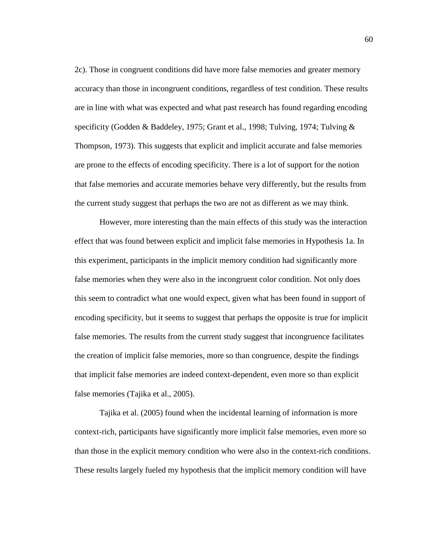2c). Those in congruent conditions did have more false memories and greater memory accuracy than those in incongruent conditions, regardless of test condition. These results are in line with what was expected and what past research has found regarding encoding specificity (Godden & Baddeley, 1975; Grant et al., 1998; Tulving, 1974; Tulving & Thompson, 1973). This suggests that explicit and implicit accurate and false memories are prone to the effects of encoding specificity. There is a lot of support for the notion that false memories and accurate memories behave very differently, but the results from the current study suggest that perhaps the two are not as different as we may think.

However, more interesting than the main effects of this study was the interaction effect that was found between explicit and implicit false memories in Hypothesis 1a. In this experiment, participants in the implicit memory condition had significantly more false memories when they were also in the incongruent color condition. Not only does this seem to contradict what one would expect, given what has been found in support of encoding specificity, but it seems to suggest that perhaps the opposite is true for implicit false memories. The results from the current study suggest that incongruence facilitates the creation of implicit false memories, more so than congruence, despite the findings that implicit false memories are indeed context-dependent, even more so than explicit false memories (Tajika et al., 2005).

Tajika et al. (2005) found when the incidental learning of information is more context-rich, participants have significantly more implicit false memories, even more so than those in the explicit memory condition who were also in the context-rich conditions. These results largely fueled my hypothesis that the implicit memory condition will have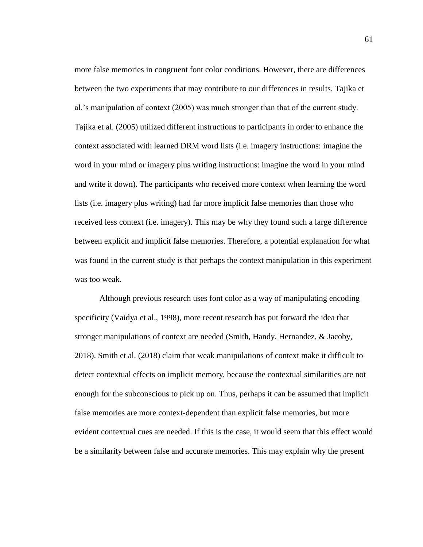more false memories in congruent font color conditions. However, there are differences between the two experiments that may contribute to our differences in results. Tajika et al.'s manipulation of context (2005) was much stronger than that of the current study. Tajika et al. (2005) utilized different instructions to participants in order to enhance the context associated with learned DRM word lists (i.e. imagery instructions: imagine the word in your mind or imagery plus writing instructions: imagine the word in your mind and write it down). The participants who received more context when learning the word lists (i.e. imagery plus writing) had far more implicit false memories than those who received less context (i.e. imagery). This may be why they found such a large difference between explicit and implicit false memories. Therefore, a potential explanation for what was found in the current study is that perhaps the context manipulation in this experiment was too weak.

Although previous research uses font color as a way of manipulating encoding specificity (Vaidya et al., 1998), more recent research has put forward the idea that stronger manipulations of context are needed (Smith, Handy, Hernandez, & Jacoby, 2018). Smith et al. (2018) claim that weak manipulations of context make it difficult to detect contextual effects on implicit memory, because the contextual similarities are not enough for the subconscious to pick up on. Thus, perhaps it can be assumed that implicit false memories are more context-dependent than explicit false memories, but more evident contextual cues are needed. If this is the case, it would seem that this effect would be a similarity between false and accurate memories. This may explain why the present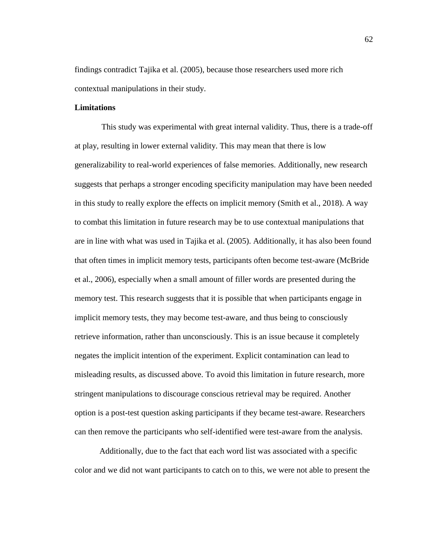findings contradict Tajika et al. (2005), because those researchers used more rich contextual manipulations in their study.

## **Limitations**

This study was experimental with great internal validity. Thus, there is a trade-off at play, resulting in lower external validity. This may mean that there is low generalizability to real-world experiences of false memories. Additionally, new research suggests that perhaps a stronger encoding specificity manipulation may have been needed in this study to really explore the effects on implicit memory (Smith et al., 2018). A way to combat this limitation in future research may be to use contextual manipulations that are in line with what was used in Tajika et al. (2005). Additionally, it has also been found that often times in implicit memory tests, participants often become test-aware (McBride et al., 2006), especially when a small amount of filler words are presented during the memory test. This research suggests that it is possible that when participants engage in implicit memory tests, they may become test-aware, and thus being to consciously retrieve information, rather than unconsciously. This is an issue because it completely negates the implicit intention of the experiment. Explicit contamination can lead to misleading results, as discussed above. To avoid this limitation in future research, more stringent manipulations to discourage conscious retrieval may be required. Another option is a post-test question asking participants if they became test-aware. Researchers can then remove the participants who self-identified were test-aware from the analysis.

Additionally, due to the fact that each word list was associated with a specific color and we did not want participants to catch on to this, we were not able to present the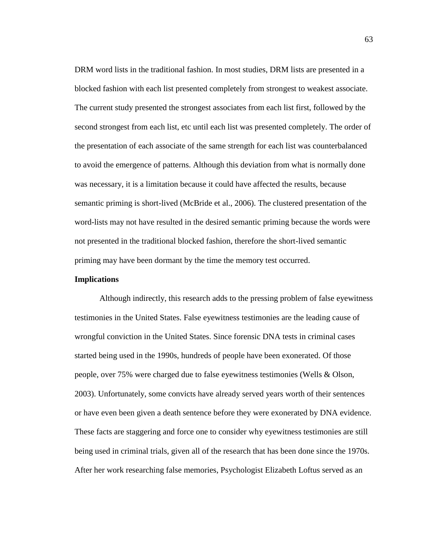DRM word lists in the traditional fashion. In most studies, DRM lists are presented in a blocked fashion with each list presented completely from strongest to weakest associate. The current study presented the strongest associates from each list first, followed by the second strongest from each list, etc until each list was presented completely. The order of the presentation of each associate of the same strength for each list was counterbalanced to avoid the emergence of patterns. Although this deviation from what is normally done was necessary, it is a limitation because it could have affected the results, because semantic priming is short-lived (McBride et al., 2006). The clustered presentation of the word-lists may not have resulted in the desired semantic priming because the words were not presented in the traditional blocked fashion, therefore the short-lived semantic priming may have been dormant by the time the memory test occurred.

## **Implications**

Although indirectly, this research adds to the pressing problem of false eyewitness testimonies in the United States. False eyewitness testimonies are the leading cause of wrongful conviction in the United States. Since forensic DNA tests in criminal cases started being used in the 1990s, hundreds of people have been exonerated. Of those people, over 75% were charged due to false eyewitness testimonies (Wells & Olson, 2003). Unfortunately, some convicts have already served years worth of their sentences or have even been given a death sentence before they were exonerated by DNA evidence. These facts are staggering and force one to consider why eyewitness testimonies are still being used in criminal trials, given all of the research that has been done since the 1970s. After her work researching false memories, Psychologist Elizabeth Loftus served as an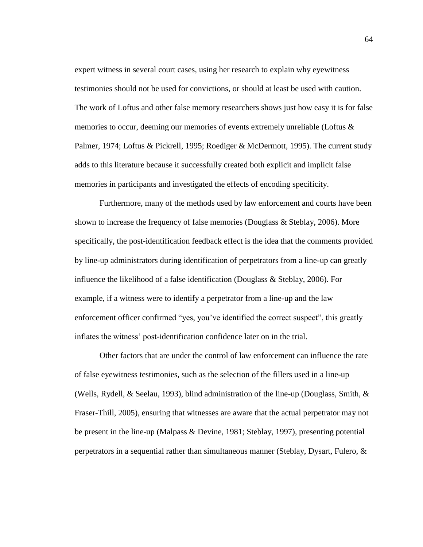expert witness in several court cases, using her research to explain why eyewitness testimonies should not be used for convictions, or should at least be used with caution. The work of Loftus and other false memory researchers shows just how easy it is for false memories to occur, deeming our memories of events extremely unreliable (Loftus & Palmer, 1974; Loftus & Pickrell, 1995; Roediger & McDermott, 1995). The current study adds to this literature because it successfully created both explicit and implicit false memories in participants and investigated the effects of encoding specificity.

Furthermore, many of the methods used by law enforcement and courts have been shown to increase the frequency of false memories (Douglass & Steblay, 2006). More specifically, the post-identification feedback effect is the idea that the comments provided by line-up administrators during identification of perpetrators from a line-up can greatly influence the likelihood of a false identification (Douglass & Steblay, 2006). For example, if a witness were to identify a perpetrator from a line-up and the law enforcement officer confirmed "yes, you've identified the correct suspect", this greatly inflates the witness' post-identification confidence later on in the trial.

Other factors that are under the control of law enforcement can influence the rate of false eyewitness testimonies, such as the selection of the fillers used in a line-up (Wells, Rydell, & Seelau, 1993), blind administration of the line-up (Douglass, Smith, & Fraser-Thill, 2005), ensuring that witnesses are aware that the actual perpetrator may not be present in the line-up (Malpass & Devine, 1981; Steblay, 1997), presenting potential perpetrators in a sequential rather than simultaneous manner (Steblay, Dysart, Fulero, &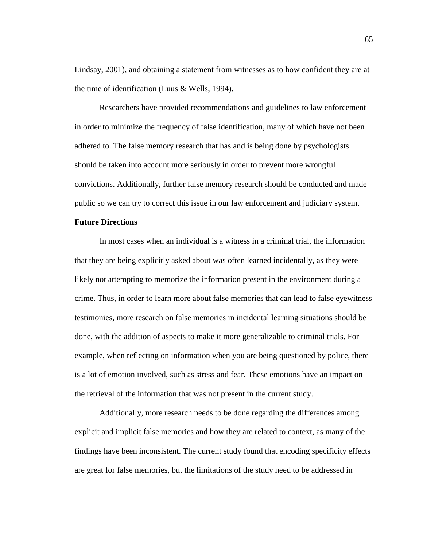Lindsay, 2001), and obtaining a statement from witnesses as to how confident they are at the time of identification (Luus & Wells, 1994).

Researchers have provided recommendations and guidelines to law enforcement in order to minimize the frequency of false identification, many of which have not been adhered to. The false memory research that has and is being done by psychologists should be taken into account more seriously in order to prevent more wrongful convictions. Additionally, further false memory research should be conducted and made public so we can try to correct this issue in our law enforcement and judiciary system.

### **Future Directions**

In most cases when an individual is a witness in a criminal trial, the information that they are being explicitly asked about was often learned incidentally, as they were likely not attempting to memorize the information present in the environment during a crime. Thus, in order to learn more about false memories that can lead to false eyewitness testimonies, more research on false memories in incidental learning situations should be done, with the addition of aspects to make it more generalizable to criminal trials. For example, when reflecting on information when you are being questioned by police, there is a lot of emotion involved, such as stress and fear. These emotions have an impact on the retrieval of the information that was not present in the current study.

Additionally, more research needs to be done regarding the differences among explicit and implicit false memories and how they are related to context, as many of the findings have been inconsistent. The current study found that encoding specificity effects are great for false memories, but the limitations of the study need to be addressed in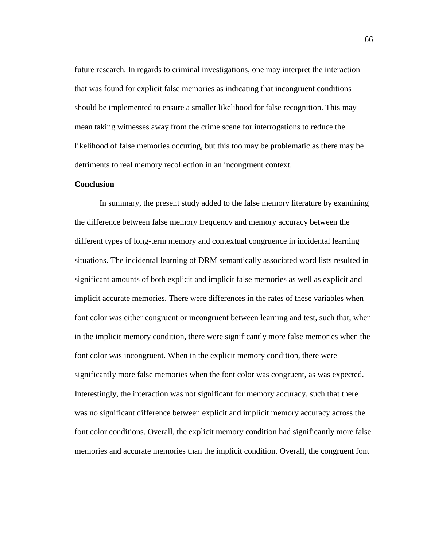future research. In regards to criminal investigations, one may interpret the interaction that was found for explicit false memories as indicating that incongruent conditions should be implemented to ensure a smaller likelihood for false recognition. This may mean taking witnesses away from the crime scene for interrogations to reduce the likelihood of false memories occuring, but this too may be problematic as there may be detriments to real memory recollection in an incongruent context.

#### **Conclusion**

In summary, the present study added to the false memory literature by examining the difference between false memory frequency and memory accuracy between the different types of long-term memory and contextual congruence in incidental learning situations. The incidental learning of DRM semantically associated word lists resulted in significant amounts of both explicit and implicit false memories as well as explicit and implicit accurate memories. There were differences in the rates of these variables when font color was either congruent or incongruent between learning and test, such that, when in the implicit memory condition, there were significantly more false memories when the font color was incongruent. When in the explicit memory condition, there were significantly more false memories when the font color was congruent, as was expected. Interestingly, the interaction was not significant for memory accuracy, such that there was no significant difference between explicit and implicit memory accuracy across the font color conditions. Overall, the explicit memory condition had significantly more false memories and accurate memories than the implicit condition. Overall, the congruent font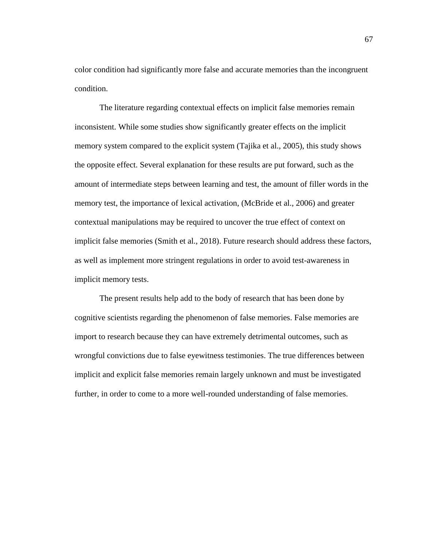color condition had significantly more false and accurate memories than the incongruent condition.

The literature regarding contextual effects on implicit false memories remain inconsistent. While some studies show significantly greater effects on the implicit memory system compared to the explicit system (Tajika et al., 2005), this study shows the opposite effect. Several explanation for these results are put forward, such as the amount of intermediate steps between learning and test, the amount of filler words in the memory test, the importance of lexical activation, (McBride et al., 2006) and greater contextual manipulations may be required to uncover the true effect of context on implicit false memories (Smith et al., 2018). Future research should address these factors, as well as implement more stringent regulations in order to avoid test-awareness in implicit memory tests.

The present results help add to the body of research that has been done by cognitive scientists regarding the phenomenon of false memories. False memories are import to research because they can have extremely detrimental outcomes, such as wrongful convictions due to false eyewitness testimonies. The true differences between implicit and explicit false memories remain largely unknown and must be investigated further, in order to come to a more well-rounded understanding of false memories.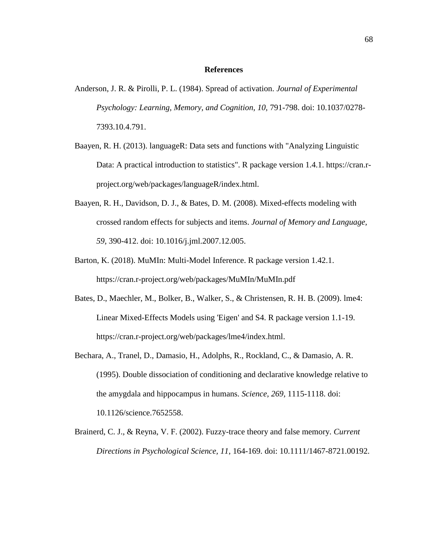#### **References**

- Anderson, J. R. & Pirolli, P. L. (1984). Spread of activation. *Journal of Experimental Psychology: Learning, Memory, and Cognition, 10,* 791-798. doi: 10.1037/0278- 7393.10.4.791.
- Baayen, R. H. (2013). languageR: Data sets and functions with "Analyzing Linguistic Data: A practical introduction to statistics". R package version 1.4.1. https://cran.rproject.org/web/packages/languageR/index.html.
- Baayen, R. H., Davidson, D. J., & Bates, D. M. (2008). Mixed-effects modeling with crossed random effects for subjects and items. *Journal of Memory and Language, 59,* 390-412. doi: 10.1016/j.jml.2007.12.005.
- Barton, K. (2018). MuMIn: Multi-Model Inference. R package version 1.42.1. [https://cran.r-p](https://cran.r-/)roject.org/web/packages/MuMIn/MuMIn.pdf
- Bates, D., Maechler, M., Bolker, B., Walker, S., & Christensen, R. H. B. (2009). lme4: Linear Mixed-Effects Models using 'Eigen' and S4. R package version 1.1-19. https://cran.r-project.org/web/packages/lme4/index.html.
- Bechara, A., Tranel, D., Damasio, H., Adolphs, R., Rockland, C., & Damasio, A. R. (1995). Double dissociation of conditioning and declarative knowledge relative to the amygdala and hippocampus in humans. *Science, 269,* 1115-1118. doi: 10.1126/science.7652558.
- Brainerd, C. J., & Reyna, V. F. (2002). Fuzzy-trace theory and false memory. *Current Directions in Psychological Science, 11*, 164-169. doi: [10.1111/1467-8721.00192.](https://doi.org/10.1111/1467-8721.00192)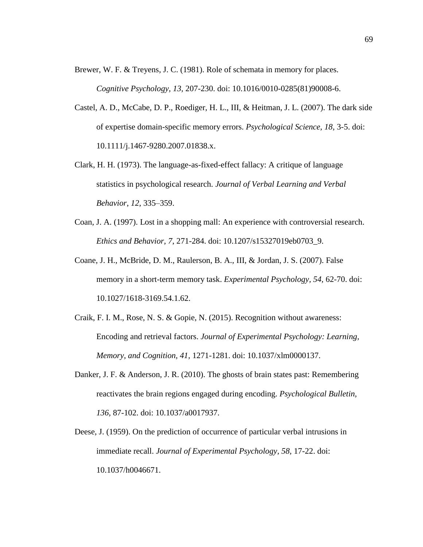- Brewer, W. F. & Treyens, J. C. (1981). Role of schemata in memory for places. *Cognitive Psychology, 13,* 207-230. doi: 10.1016/0010-0285(81)90008-6.
- Castel, A. D., McCabe, D. P., Roediger, H. L., III, & Heitman, J. L. (2007). The dark side of expertise domain-specific memory errors. *Psychological Science, 18*, 3-5. doi: 10.1111/j.1467-9280.2007.01838.x.
- Clark, H. H. (1973). The language-as-fixed-effect fallacy: A critique of language statistics in psychological research. *Journal of Verbal Learning and Verbal Behavior*, *12*, 335–359.
- Coan, J. A. (1997). Lost in a shopping mall: An experience with controversial research. *Ethics and Behavior, 7*, 271-284. doi: 10.1207/s15327019eb0703\_9.
- Coane, J. H., McBride, D. M., Raulerson, B. A., III, & Jordan, J. S. (2007). False memory in a short-term memory task. *Experimental Psychology, 54,* 62-70. doi: 10.1027/1618-3169.54.1.62.
- Craik, F. I. M., Rose, N. S. & Gopie, N. (2015). Recognition without awareness: Encoding and retrieval factors. *Journal of Experimental Psychology: Learning, Memory, and Cognition, 41,* 1271-1281. doi: 10.1037/xlm0000137.
- Danker, J. F. & Anderson, J. R. (2010). The ghosts of brain states past: Remembering reactivates the brain regions engaged during encoding. *Psychological Bulletin, 136,* 87-102. doi: 10.1037/a0017937.
- Deese, J. (1959). On the prediction of occurrence of particular verbal intrusions in immediate recall. *Journal of Experimental Psychology, 58,* 17-22. doi: 10.1037/h0046671.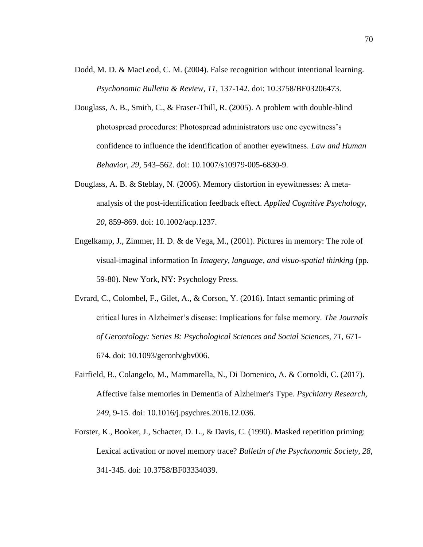- Dodd, M. D. & MacLeod, C. M. (2004). False recognition without intentional learning. *Psychonomic Bulletin & Review, 11*, 137-142. doi: 10.3758/BF03206473.
- Douglass, A. B., Smith, C., & Fraser-Thill, R. (2005). A problem with double-blind photospread procedures: Photospread administrators use one eyewitness's confidence to influence the identification of another eyewitness. *Law and Human Behavior, 29*, 543–562. doi: 10.1007/s10979-005-6830-9.
- Douglass, A. B. & Steblay, N. (2006). Memory distortion in eyewitnesses: A metaanalysis of the post-identification feedback effect. *Applied Cognitive Psychology, 20,* 859-869. doi: 10.1002/acp.1237.
- Engelkamp, J., Zimmer, H. D. & de Vega, M., (2001). Pictures in memory: The role of visual-imaginal information In *Imagery, language, and visuo-spatial thinking* (pp. 59-80). New York, NY: Psychology Press.
- Evrard, C., Colombel, F., Gilet, A., & Corson, Y. (2016). Intact semantic priming of critical lures in Alzheimer's disease: Implications for false memory. *The Journals of Gerontology: Series B: Psychological Sciences and Social Sciences, 71,* 671- 674. doi: 10.1093/geronb/gbv006.
- Fairfield, B., Colangelo, M., Mammarella, N., Di Domenico, A. & Cornoldi, C. (2017). Affective false memories in Dementia of Alzheimer's Type. *Psychiatry Research, 249,* 9-15. doi: 10.1016/j.psychres.2016.12.036.
- Forster, K., Booker, J., Schacter, D. L., & Davis, C. (1990). Masked repetition priming: Lexical activation or novel memory trace? *Bulletin of the Psychonomic Society, 28*, 341-345. doi: 10.3758/BF03334039.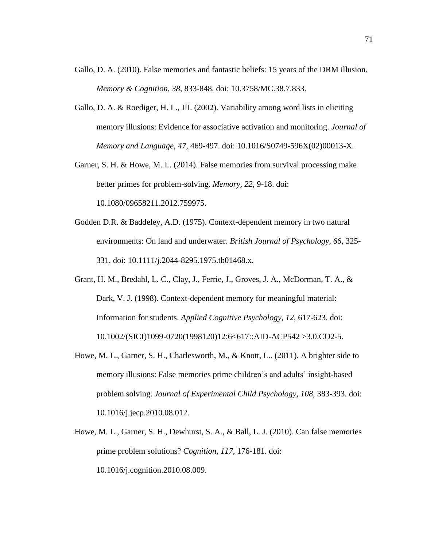- Gallo, D. A. (2010). False memories and fantastic beliefs: 15 years of the DRM illusion. *Memory & Cognition, 38,* 833-848. doi: 10.3758/MC.38.7.833.
- Gallo, D. A. & Roediger, H. L., III. (2002). Variability among word lists in eliciting memory illusions: Evidence for associative activation and monitoring. *Journal of Memory and Language, 47,* 469-497. doi: 10.1016/S0749-596X(02)00013-X.
- Garner, S. H. & Howe, M. L. (2014). False memories from survival processing make better primes for problem-solving. *Memory, 22*, 9-18. doi: 10.1080/09658211.2012.759975.
- Godden D.R. & Baddeley, A.D. (1975). Context-dependent memory in two natural environments: On land and underwater. *British Journal of Psychology, 66,* 325- 331. doi: 10.1111/j.2044-8295.1975.tb01468.x.
- Grant, H. M., Bredahl, L. C., Clay, J., Ferrie, J., Groves, J. A., McDorman, T. A., & Dark, V. J. (1998). Context-dependent memory for meaningful material: Information for students. *Applied Cognitive Psychology, 12,* 617-623. doi: 10.1002/(SICI)1099-0720(1998120)12:6<617::AID-ACP542 >3.0.CO2-5.
- Howe, M. L., Garner, S. H., Charlesworth, M., & Knott, L.. (2011). A brighter side to memory illusions: False memories prime children's and adults' insight-based problem solving. *Journal of Experimental Child Psychology, 108, 383-393.* doi: 10.1016/j.jecp.2010.08.012.
- Howe, M. L., Garner, S. H., Dewhurst, S. A., & Ball, L. J. (2010). Can false memories prime problem solutions? *Cognition, 117,* 176-181. doi: 10.1016/j.cognition.2010.08.009.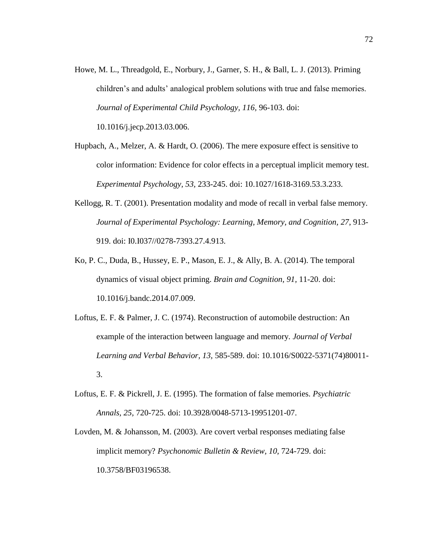- Howe, M. L., Threadgold, E., Norbury, J., Garner, S. H., & Ball, L. J. (2013). Priming children's and adults' analogical problem solutions with true and false memories. *Journal of Experimental Child Psychology, 116,* 96-103. doi[:](https://doi.org/10.1016/j.jecp.2013.03.006) [10.1016/j.jecp.2013.03.006.](https://doi.org/10.1016/j.jecp.2013.03.006)
- Hupbach, A., Melzer, A. & Hardt, O. (2006). The mere exposure effect is sensitive to color information: Evidence for color effects in a perceptual implicit memory test. *Experimental Psychology, 53,* 233-245. doi: [10.1027/1618-3169.53.3.233.](http://dx.doi.org.ezproxy.humboldt.edu/10.1027/1618-3169.53.3.233)
- Kellogg, R. T. (2001). Presentation modality and mode of recall in verbal false memory. *Journal of Experimental Psychology: Learning, Memory, and Cognition, 27*, 913- 919. doi: I0.I037//0278-7393.27.4.913.
- Ko, P. C., Duda, B., Hussey, E. P., Mason, E. J., & Ally, B. A. (2014). The temporal dynamics of visual object priming. *Brain and Cognition, 91,* 11-20. doi: 10.1016/j.bandc.2014.07.009.
- Loftus, E. F. & Palmer, J. C. (1974). Reconstruction of automobile destruction: An example of the interaction between language and memory. *Journal of Verbal Learning and Verbal Behavior, 13,* 585-589. doi: 10.1016/S0022-5371(74)80011- 3.
- Loftus, E. F. & Pickrell, J. E. (1995). The formation of false memories. *Psychiatric Annals, 25,* 720-725. doi: 10.3928/0048-5713-19951201-07.
- Lovden, M. & Johansson, M. (2003). Are covert verbal responses mediating false implicit memory? *Psychonomic Bulletin & Review, 10, 724-729.* doi: 10.3758/BF03196538.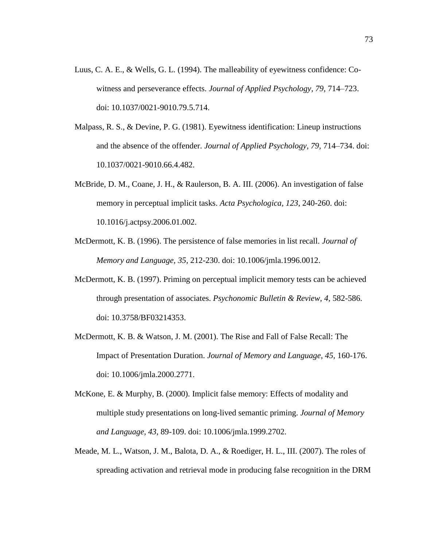- Luus, C. A. E., & Wells, G. L. (1994). The malleability of eyewitness confidence: Cowitness and perseverance effects. *Journal of Applied Psychology, 79*, 714–723. doi: 10.1037/0021-9010.79.5.714.
- Malpass, R. S., & Devine, P. G. (1981). Eyewitness identification: Lineup instructions and the absence of the offender. *Journal of Applied Psychology, 79*, 714–734. doi: 10.1037/0021-9010.66.4.482.
- McBride, D. M., Coane, J. H., & Raulerson, B. A. III. (2006). An investigation of false memory in perceptual implicit tasks. *Acta Psychologica, 123*, 240-260. doi: 10.1016/j.actpsy.2006.01.002.
- McDermott, K. B. (1996). The persistence of false memories in list recall. *Journal of Memory and Language, 35,* 212-230. doi: 10.1006/jmla.1996.0012.
- McDermott, K. B. (1997). Priming on perceptual implicit memory tests can be achieved through presentation of associates. *Psychonomic Bulletin & Review, 4*, 582-586. doi: 10.3758/BF03214353.
- McDermott, K. B. & Watson, J. M. (2001). The Rise and Fall of False Recall: The Impact of Presentation Duration. *Journal of Memory and Language, 45,* 160-176. doi: 10.1006/jmla.2000.2771.
- McKone, E. & Murphy, B. (2000). Implicit false memory: Effects of modality and multiple study presentations on long-lived semantic priming. *Journal of Memory and Language, 43*, 89-109. doi: 10.1006/jmla.1999.2702.
- Meade, M. L., Watson, J. M., Balota, D. A., & Roediger, H. L., III. (2007). The roles of spreading activation and retrieval mode in producing false recognition in the DRM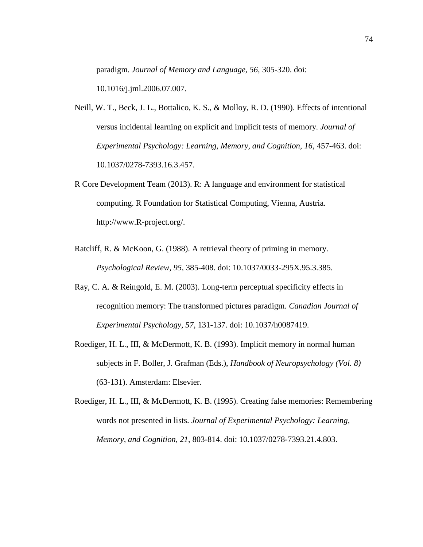paradigm. *Journal of Memory and Language, 56,* 305-320. doi:

10.1016/j.jml.2006.07.007.

- Neill, W. T., Beck, J. L., Bottalico, K. S., & Molloy, R. D. (1990). Effects of intentional versus incidental learning on explicit and implicit tests of memory. *Journal of Experimental Psychology: Learning, Memory, and Cognition, 16, 457-463. doi:* 10.1037/0278-7393.16.3.457.
- R Core Development Team (2013). R: A language and environment for statistical computing. R Foundation for Statistical Computing, Vienna, Austria. http://www.R-project.org/.
- Ratcliff, R. & McKoon, G. (1988). A retrieval theory of priming in memory. *Psychological Review, 95,* 385-408. doi: 10.1037/0033-295X.95.3.385.
- Ray, C. A. & Reingold, E. M. (2003). Long-term perceptual specificity effects in recognition memory: The transformed pictures paradigm. *Canadian Journal of Experimental Psychology, 57,* 131-137. doi: 10.1037/h0087419.
- Roediger, H. L., III, & McDermott, K. B. (1993). Implicit memory in normal human subjects in F. Boller, J. Grafman (Eds.), *Handbook of Neuropsychology (Vol. 8)*  (63-131). Amsterdam: Elsevier.
- Roediger, H. L., III, & McDermott, K. B. (1995). Creating false memories: Remembering words not presented in lists. *Journal of Experimental Psychology: Learning, Memory, and Cognition, 21*, 803-814. doi: 10.1037/0278-7393.21.4.803.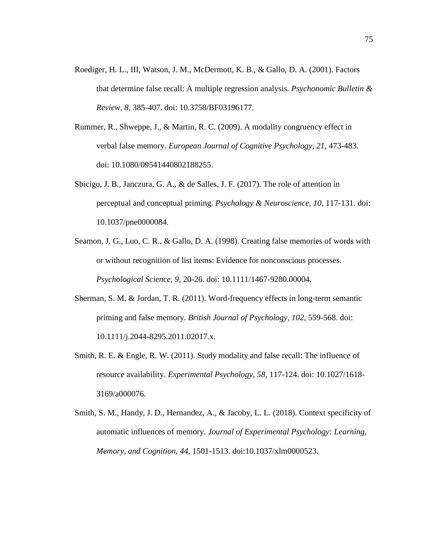- Roediger, H. L., III, Watson, J. M., McDermott, K. B., & Gallo, D. A. (2001). Factors that determine false recall: A multiple regression analysis. *Psychonomic Bulletin & Review, 8,* 385-407. doi: 10.3758/BF03196177.
- Rummer, R., Shweppe, J., & Martin, R. C. (2009). A modality congruency effect in verbal false memory. *European Journal of Cognitive Psychology, 21,* 473-483. doi: [10.1080/09541440802188255.](http://dx.doi.org/10.1080/09541440802188255)
- Sbicigo, J. B., Janczura, G. A., & de Salles, J. F. (2017). The role of attention in perceptual and conceptual priming. *Psychology & Neuroscience, 10,* 117-131. doi: 10.1037/pne0000084.
- Seamon, J. G., Luo, C. R., & Gallo, D. A. (1998). Creating false memories of words with or without recognition of list items: Evidence for nonconscious processes. *Psychological Science, 9,* 20-26. doi: [10.1111/1467-9280.00004.](https://doi.org/10.1111/1467-9280.00004)
- Sherman, S. M. & Jordan, T. R. (2011). Word-frequency effects in long-term semantic priming and false memory. *British Journal of Psychology, 102,* 559-568. doi: 10.1111/j.2044-8295.2011.02017.x.
- Smith, R. E. & Engle, R. W. (2011). Study modality and false recall: The influence of resource availability. *Experimental Psychology, 58,* 117-124. doi: 10.1027/1618- 3169/a000076.
- Smith, S. M., Handy, J. D., Hernandez, A., & Jacoby, L. L. (2018). Context specificity of automatic influences of memory. *Journal of Experimental Psychology: Learning, Memory, and Cognition, 44*, 1501-1513. doi:10.1037/xlm0000523.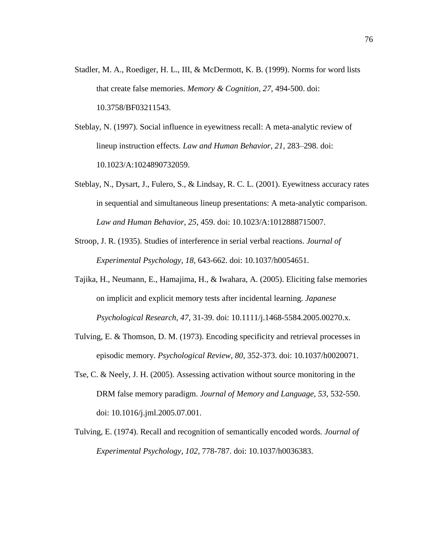- Stadler, M. A., Roediger, H. L., III, & McDermott, K. B. (1999). Norms for word lists that create false memories. *Memory & Cognition, 27,* 494-500. doi: 10.3758/BF03211543.
- Steblay, N. (1997). Social influence in eyewitness recall: A meta-analytic review of lineup instruction effects. *Law and Human Behavior, 21*, 283–298. doi: 10.1023/A:1024890732059.
- Steblay, N., Dysart, J., Fulero, S., & Lindsay, R. C. L. (2001). Eyewitness accuracy rates in sequential and simultaneous lineup presentations: A meta-analytic comparison. *Law and Human Behavior, 25*, 459. doi: 10.1023/A:1012888715007.
- Stroop, J. R. (1935). Studies of interference in serial verbal reactions. *Journal of Experimental Psychology, 18,* 643-662. doi: 10.1037/h0054651.
- Tajika, H., Neumann, E., Hamajima, H., & Iwahara, A. (2005). Eliciting false memories on implicit and explicit memory tests after incidental learning. *Japanese Psychological Research, 47,* 31-39. doi: 10.1111/j.1468-5584.2005.00270.x.
- Tulving, E. & Thomson, D. M. (1973). Encoding specificity and retrieval processes in episodic memory. *Psychological Review, 80,* 352-373. doi: 10.1037/h0020071.
- Tse, C. & Neely, J. H. (2005). Assessing activation without source monitoring in the DRM false memory paradigm. *Journal of Memory and Language, 53*, 532-550. doi: 10.1016/j.jml.2005.07.001.
- Tulving, E. (1974). Recall and recognition of semantically encoded words. *Journal of Experimental Psychology, 102,* 778-787. doi: 10.1037/h0036383.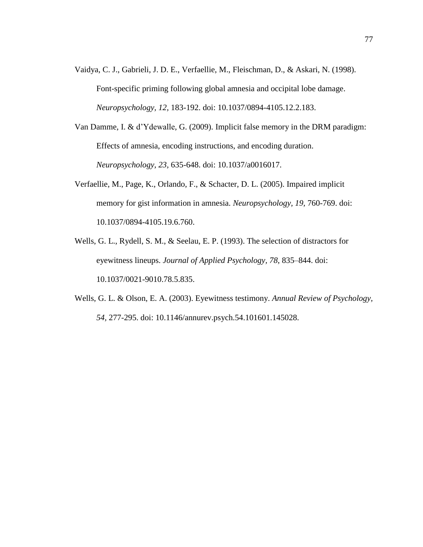- Vaidya, C. J., Gabrieli, J. D. E., Verfaellie, M., Fleischman, D., & Askari, N. (1998). Font-specific priming following global amnesia and occipital lobe damage. *Neuropsychology, 12,* 183-192. doi: [10.1037/0894-4105.12.2.183.](http://dx.doi.org.ezproxy.humboldt.edu/10.1037/0894-4105.12.2.183)
- Van Damme, I. & d'Ydewalle, G. (2009). Implicit false memory in the DRM paradigm: Effects of amnesia, encoding instructions, and encoding duration. *Neuropsychology, 23,* 635-648. doi: 10.1037/a0016017.
- Verfaellie, M., Page, K., Orlando, F., & Schacter, D. L. (2005). Impaired implicit memory for gist information in amnesia. *Neuropsychology, 19,* 760-769. doi: 10.1037/0894-4105.19.6.760.
- Wells, G. L., Rydell, S. M., & Seelau, E. P. (1993). The selection of distractors for eyewitness lineups. *Journal of Applied Psychology, 78*, 835–844. doi: 10.1037/0021-9010.78.5.835.
- Wells, G. L. & Olson, E. A. (2003). Eyewitness testimony. *Annual Review of Psychology, 54,* 277-295. doi: 10.1146/annurev.psych.54.101601.145028.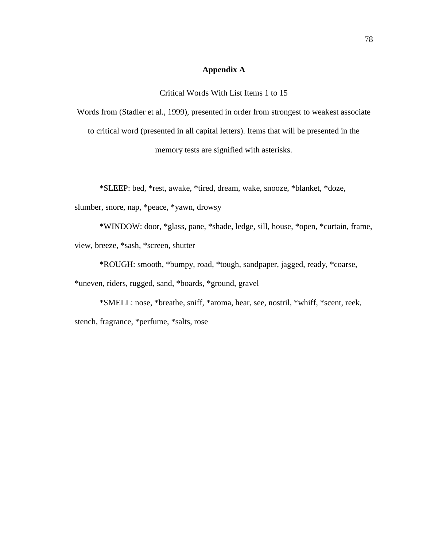## **Appendix A**

Critical Words With List Items 1 to 15

Words from (Stadler et al., 1999), presented in order from strongest to weakest associate to critical word (presented in all capital letters). Items that will be presented in the memory tests are signified with asterisks.

\*SLEEP: bed, \*rest, awake, \*tired, dream, wake, snooze, \*blanket, \*doze, slumber, snore, nap, \*peace, \*yawn, drowsy

\*WINDOW: door, \*glass, pane, \*shade, ledge, sill, house, \*open, \*curtain, frame, view, breeze, \*sash, \*screen, shutter

\*ROUGH: smooth, \*bumpy, road, \*tough, sandpaper, jagged, ready, \*coarse,

\*uneven, riders, rugged, sand, \*boards, \*ground, gravel

\*SMELL: nose, \*breathe, sniff, \*aroma, hear, see, nostril, \*whiff, \*scent, reek, stench, fragrance, \*perfume, \*salts, rose